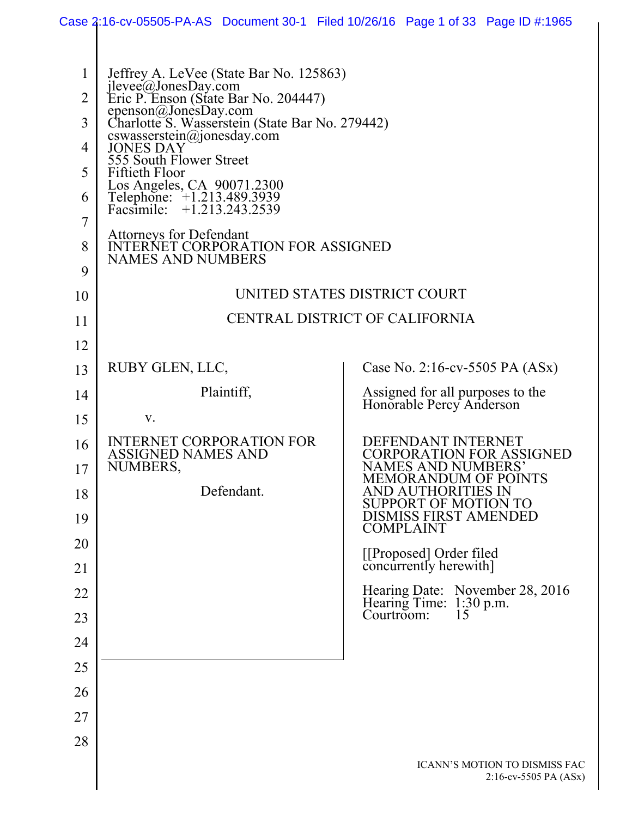|                | Case 2:16-cv-05505-PA-AS Document 30-1 Filed 10/26/16 Page 1 of 33 Page ID #:1965      |            |                              |                                                              |                                                            |
|----------------|----------------------------------------------------------------------------------------|------------|------------------------------|--------------------------------------------------------------|------------------------------------------------------------|
|                |                                                                                        |            |                              |                                                              |                                                            |
| 1              | Jeffrey A. LeVee (State Bar No. 125863)                                                |            |                              |                                                              |                                                            |
| $\overline{2}$ | jlevee@JonesDay.com<br>Eric P. Enson (State Bar No. 204447)                            |            |                              |                                                              |                                                            |
| 3              | epenson@JonesDay.com<br>Charlotte S. Wasserstein (State Bar No. 279442)                |            |                              |                                                              |                                                            |
| 4              | cswasserstein@jonesday.com<br>JONES DAY                                                |            |                              |                                                              |                                                            |
| 5              | 555 South Flower Street<br>Fiftieth Floor                                              |            |                              |                                                              |                                                            |
| 6              | Los Angeles, CA 90071.2300<br>Telephone: +1.213.489.3939<br>Facsimile: +1.213.243.2539 |            |                              |                                                              |                                                            |
| $\overline{7}$ | <b>Attorneys for Defendant</b>                                                         |            |                              |                                                              |                                                            |
| 8              | <b>INTERNET CORPORATION FOR ASSIGNED</b><br><b>NAMES AND NUMBERS</b>                   |            |                              |                                                              |                                                            |
| 9              |                                                                                        |            |                              |                                                              |                                                            |
| 10             |                                                                                        |            | UNITED STATES DISTRICT COURT |                                                              |                                                            |
| 11             | CENTRAL DISTRICT OF CALIFORNIA                                                         |            |                              |                                                              |                                                            |
| 12             |                                                                                        |            |                              |                                                              |                                                            |
| 13             | RUBY GLEN, LLC,                                                                        |            |                              | Case No. 2:16-cv-5505 PA (ASx)                               |                                                            |
| 14             |                                                                                        | Plaintiff, |                              | Assigned for all purposes to the<br>Honorable Percy Anderson |                                                            |
| 15             | V.                                                                                     |            |                              |                                                              |                                                            |
| 16             | <b>INTERNET CORPORATION FOR</b><br>ASSIGNED NAMES AND                                  |            |                              | DEFENDANT INTERNET                                           | <b>CORPORATION FOR ASSIGNED</b>                            |
| 17             | NUMBERS,                                                                               |            |                              | <b>NAMES AND NUMBERS'</b><br>MEMORANDUM OF POINTS            |                                                            |
| 18             |                                                                                        | Defendant. |                              | AND AUTHORITIES IN<br><b>SUPPORT OF MOTION TO</b>            |                                                            |
| 19             |                                                                                        |            |                              | <b>DISMISS FIRST AMENDED</b><br><b>COMPLAINT</b>             |                                                            |
| 20             |                                                                                        |            |                              | [[Proposed] Order filed<br>concurrently herewith]            |                                                            |
| 21             |                                                                                        |            |                              |                                                              |                                                            |
| 22             |                                                                                        |            |                              |                                                              | Hearing Date: November 28, 2016<br>Hearing Time: 1:30 p.m. |
| 23             |                                                                                        |            |                              | Courtroom:<br>15                                             |                                                            |
| 24             |                                                                                        |            |                              |                                                              |                                                            |
| 25             |                                                                                        |            |                              |                                                              |                                                            |
| 26             |                                                                                        |            |                              |                                                              |                                                            |
| 27             |                                                                                        |            |                              |                                                              |                                                            |
| 28             |                                                                                        |            |                              |                                                              |                                                            |
|                |                                                                                        |            |                              |                                                              | ICANN'S MOTION TO DISMISS FAC<br>$2:16$ -cv-5505 PA (ASx)  |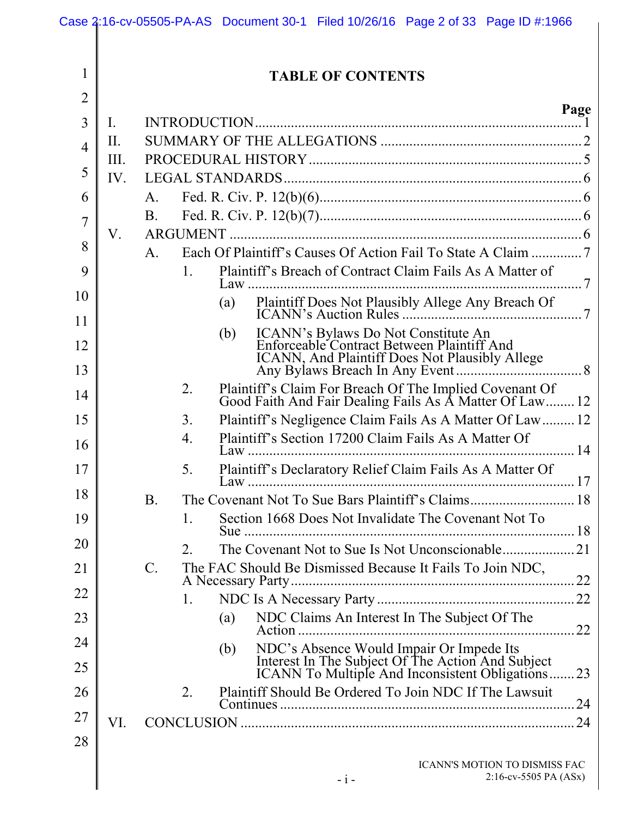|                |                | Case 2:16-cv-05505-PA-AS Document 30-1 Filed 10/26/16 Page 2 of 33 Page ID #:1966                                                                  |  |  |
|----------------|----------------|----------------------------------------------------------------------------------------------------------------------------------------------------|--|--|
| 1              |                | <b>TABLE OF CONTENTS</b>                                                                                                                           |  |  |
| $\overline{2}$ |                |                                                                                                                                                    |  |  |
| 3              | $\mathbf{I}$ . | Page                                                                                                                                               |  |  |
| $\overline{4}$ | II.            |                                                                                                                                                    |  |  |
|                | III.           |                                                                                                                                                    |  |  |
| 5              | IV.            |                                                                                                                                                    |  |  |
| 6              | A.             |                                                                                                                                                    |  |  |
| 7              |                | <b>B</b> .                                                                                                                                         |  |  |
| 8              | V.             | $A_{\cdot}$                                                                                                                                        |  |  |
| 9              |                | Plaintiff's Breach of Contract Claim Fails As A Matter of<br>$1_{-}$                                                                               |  |  |
| 10             |                | (a)                                                                                                                                                |  |  |
| 11             |                |                                                                                                                                                    |  |  |
| 12             |                | ICANN's Bylaws Do Not Constitute An<br>Enforceable Contract Between Plaintiff And<br>(b)<br><b>ICANN</b> , And Plaintiff Does Not Plausibly Allege |  |  |
| 13             |                |                                                                                                                                                    |  |  |
| 14             |                | Plaintiff's Claim For Breach Of The Implied Covenant Of<br>Good Faith And Fair Dealing Fails As A Matter Of Law 12<br>2.                           |  |  |
| 15             |                | Plaintiff's Negligence Claim Fails As A Matter Of Law 12<br>3 <sub>1</sub>                                                                         |  |  |
| 16             |                | Plaintiff's Section 17200 Claim Fails As A Matter Of<br>$\overline{4}$ .                                                                           |  |  |
| 17             |                | Plaintiff's Declaratory Relief Claim Fails As A Matter Of<br>5.                                                                                    |  |  |
| 18             |                | <b>B</b> .                                                                                                                                         |  |  |
| 19             |                | Section 1668 Does Not Invalidate The Covenant Not To<br>1.                                                                                         |  |  |
| 20             |                | $\overline{2}$ .                                                                                                                                   |  |  |
| 21             |                | $\mathcal{C}$ .<br>The FAC Should Be Dismissed Because It Fails To Join NDC,                                                                       |  |  |
| 22             |                | $\mathbf{1}$ .                                                                                                                                     |  |  |
| 23             |                | NDC Claims An Interest In The Subject Of The<br>(a)<br>22                                                                                          |  |  |
| 24             |                | NDC's Absence Would Impair Or Impede Its<br>(b)                                                                                                    |  |  |
| 25             |                | Interest In The Subject Of The Action And Subject<br>ICANN To Multiple And Inconsistent Obligations<br>$\dots 23$                                  |  |  |
| 26             |                | 2.<br>Plaintiff Should Be Ordered To Join NDC If The Lawsuit                                                                                       |  |  |
| 27             | VI.            |                                                                                                                                                    |  |  |
| 28             |                |                                                                                                                                                    |  |  |
|                |                | ICANN'S MOTION TO DISMISS FAC<br>$2:16$ -cv-5505 PA (ASx)<br>$-i-$                                                                                 |  |  |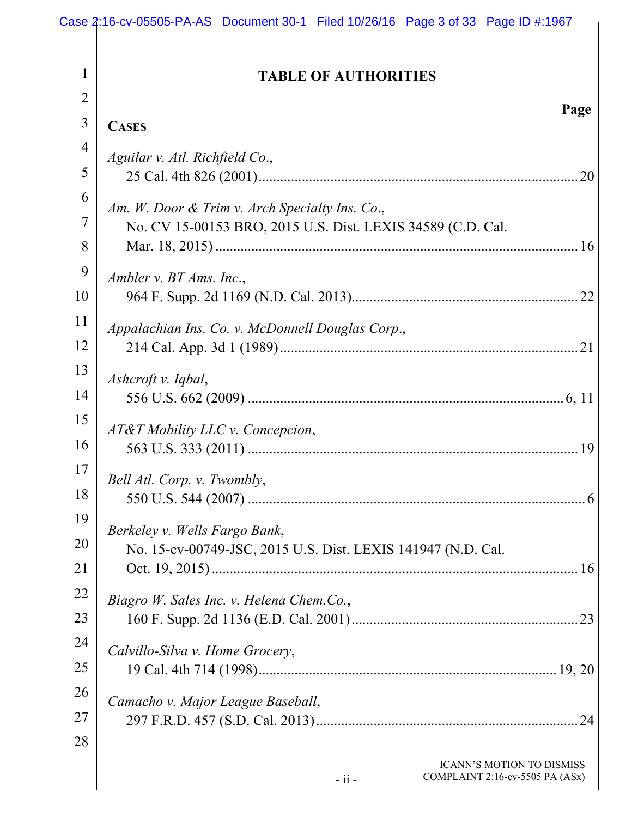|                | Case 2:16-cv-05505-PA-AS Document 30-1 Filed 10/26/16 Page 3 of 33 Page ID #:1967 |
|----------------|-----------------------------------------------------------------------------------|
| $\mathbf{1}$   |                                                                                   |
| $\overline{2}$ | <b>TABLE OF AUTHORITIES</b>                                                       |
| $\overline{3}$ | Page<br><b>CASES</b>                                                              |
| $\overline{4}$ |                                                                                   |
| 5              | Aguilar v. Atl. Richfield Co.,<br>20                                              |
| 6              |                                                                                   |
| 7              | Am. W. Door & Trim v. Arch Specialty Ins. Co.,                                    |
| 8              | No. CV 15-00153 BRO, 2015 U.S. Dist. LEXIS 34589 (C.D. Cal.                       |
| 9              |                                                                                   |
| 10             | Ambler v. $BT\,Ams$ . Inc.,<br>22                                                 |
| 11             | Appalachian Ins. Co. v. McDonnell Douglas Corp.,                                  |
| 12             | 21                                                                                |
| 13             | Ashcroft v. Iqbal,                                                                |
| 14             |                                                                                   |
| 15             | AT&T Mobility LLC v. Concepcion,                                                  |
| 16             | 19                                                                                |
| 17             | Bell Atl. Corp. v. Twombly,                                                       |
| 18             |                                                                                   |
| 19             | Berkeley v. Wells Fargo Bank,                                                     |
| 20             | No. 15-cv-00749-JSC, 2015 U.S. Dist. LEXIS 141947 (N.D. Cal.                      |
| 21             |                                                                                   |
| 22             | Biagro W. Sales Inc. v. Helena Chem.Co.,                                          |
| 23             |                                                                                   |
| 24             | Calvillo-Silva v. Home Grocery,                                                   |
| 25             |                                                                                   |
| 26             | Camacho v. Major League Baseball,                                                 |
| 27             | .24                                                                               |
| 28             |                                                                                   |
|                | <b>ICANN'S MOTION TO DISMISS</b><br>COMPLAINT 2:16-cv-5505 PA (ASx)<br>$-$ ii $-$ |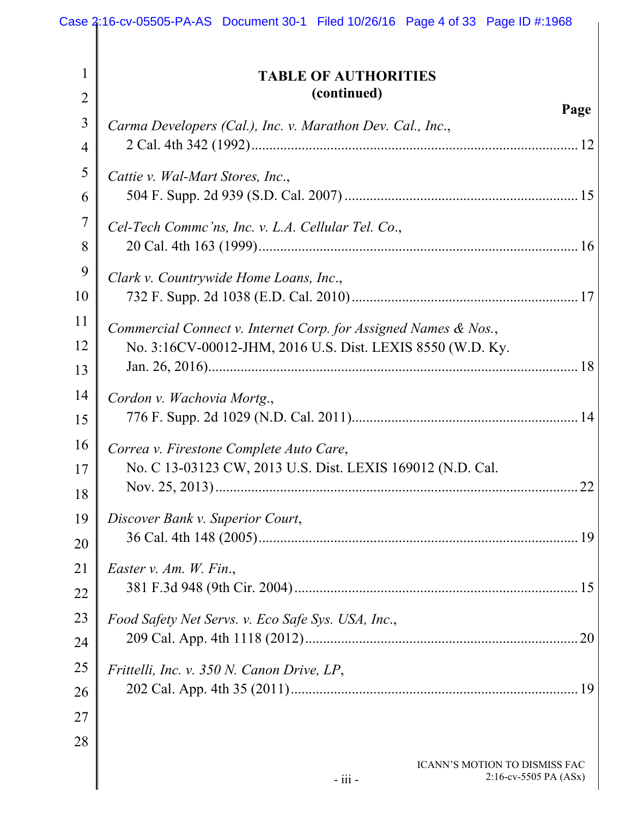| 1<br><b>TABLE OF AUTHORITIES</b><br>(continued)<br>$\overline{2}$<br>3<br>Carma Developers (Cal.), Inc. v. Marathon Dev. Cal., Inc., | Page                     |
|--------------------------------------------------------------------------------------------------------------------------------------|--------------------------|
|                                                                                                                                      |                          |
|                                                                                                                                      |                          |
|                                                                                                                                      |                          |
|                                                                                                                                      |                          |
| $\overline{4}$                                                                                                                       |                          |
| 5<br>Cattie v. Wal-Mart Stores, Inc.,                                                                                                |                          |
| 6                                                                                                                                    |                          |
| $\overline{7}$<br>Cel-Tech Commc'ns, Inc. v. L.A. Cellular Tel. Co.,                                                                 |                          |
| 8                                                                                                                                    |                          |
| 9<br>Clark v. Countrywide Home Loans, Inc.,                                                                                          |                          |
| 10                                                                                                                                   |                          |
| 11<br>Commercial Connect v. Internet Corp. for Assigned Names & Nos.,                                                                |                          |
| 12<br>No. 3:16CV-00012-JHM, 2016 U.S. Dist. LEXIS 8550 (W.D. Ky.                                                                     |                          |
| 13                                                                                                                                   |                          |
| 14<br>Cordon v. Wachovia Mortg.,                                                                                                     |                          |
| 15                                                                                                                                   |                          |
| 16<br>Correa v. Firestone Complete Auto Care,                                                                                        |                          |
| No. C 13-03123 CW, 2013 U.S. Dist. LEXIS 169012 (N.D. Cal.<br>17                                                                     |                          |
| 18                                                                                                                                   | 22                       |
| 19<br>Discover Bank v. Superior Court,                                                                                               |                          |
| 20                                                                                                                                   |                          |
| 21<br><i>Easter v. Am. W. Fin.</i> ,                                                                                                 |                          |
| 22                                                                                                                                   |                          |
| 23<br>Food Safety Net Servs. v. Eco Safe Sys. USA, Inc.,                                                                             |                          |
| 24                                                                                                                                   | 20                       |
| 25<br>Frittelli, Inc. v. 350 N. Canon Drive, LP,                                                                                     |                          |
| 26                                                                                                                                   |                          |
| 27                                                                                                                                   |                          |
| 28                                                                                                                                   |                          |
| ICANN'S MOTION TO DISMISS FAC<br>- iii -                                                                                             | $2:16$ -cv-5505 PA (ASx) |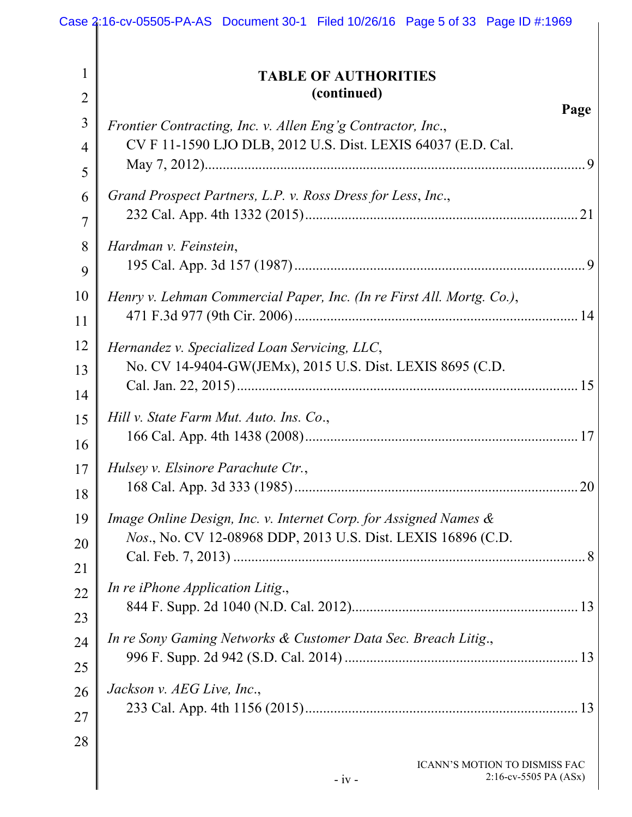|                                | Case 2:16-cv-05505-PA-AS Document 30-1 Filed 10/26/16 Page 5 of 33 Page ID #:1969                                           |      |
|--------------------------------|-----------------------------------------------------------------------------------------------------------------------------|------|
| $\mathbf{1}$<br>$\overline{2}$ | <b>TABLE OF AUTHORITIES</b><br>(continued)                                                                                  |      |
| $\mathfrak{Z}$                 |                                                                                                                             | Page |
| $\overline{4}$                 | Frontier Contracting, Inc. v. Allen Eng'g Contractor, Inc.,<br>CV F 11-1590 LJO DLB, 2012 U.S. Dist. LEXIS 64037 (E.D. Cal. |      |
| 5                              |                                                                                                                             |      |
|                                |                                                                                                                             |      |
| 6                              | Grand Prospect Partners, L.P. v. Ross Dress for Less, Inc.,                                                                 |      |
| $\overline{7}$                 |                                                                                                                             |      |
| 8                              | Hardman v. Feinstein,                                                                                                       |      |
| 9                              |                                                                                                                             |      |
| 10                             | Henry v. Lehman Commercial Paper, Inc. (In re First All. Mortg. Co.),                                                       |      |
| 11                             |                                                                                                                             |      |
| 12                             | Hernandez v. Specialized Loan Servicing, LLC,                                                                               |      |
| 13                             | No. CV 14-9404-GW(JEMx), 2015 U.S. Dist. LEXIS 8695 (C.D.                                                                   |      |
| 14                             |                                                                                                                             |      |
| 15                             | Hill v. State Farm Mut. Auto. Ins. Co.,                                                                                     |      |
| 16                             |                                                                                                                             |      |
| 17                             | Hulsey v. Elsinore Parachute Ctr.,                                                                                          |      |
| 18                             |                                                                                                                             |      |
| 19                             | Image Online Design, Inc. v. Internet Corp. for Assigned Names &                                                            |      |
| 20                             | Nos., No. CV 12-08968 DDP, 2013 U.S. Dist. LEXIS 16896 (C.D.                                                                |      |
| 21                             |                                                                                                                             |      |
| 22                             | In re iPhone Application Litig.,                                                                                            |      |
| 23                             |                                                                                                                             |      |
| 24                             | In re Sony Gaming Networks & Customer Data Sec. Breach Litig.,                                                              |      |
|                                |                                                                                                                             |      |
| 25                             | Jackson v. AEG Live, Inc.,                                                                                                  |      |
| 26                             |                                                                                                                             |      |
| 27                             |                                                                                                                             |      |
| 28                             |                                                                                                                             |      |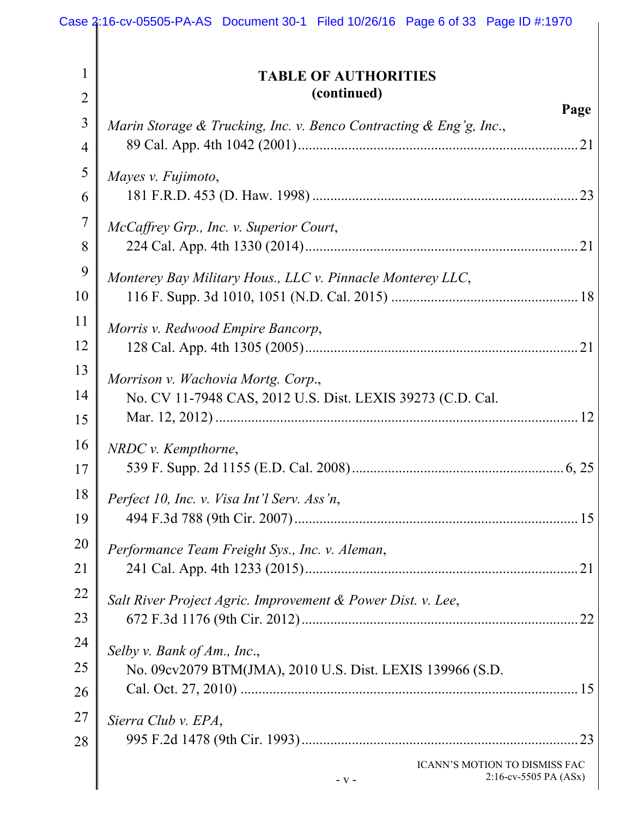|                     | Case 2:16-cv-05505-PA-AS Document 30-1 Filed 10/26/16 Page 6 of 33 Page ID #:1970                |
|---------------------|--------------------------------------------------------------------------------------------------|
| 1                   | <b>TABLE OF AUTHORITIES</b>                                                                      |
| $\overline{2}$      | (continued)                                                                                      |
| 3<br>$\overline{4}$ | Page<br>Marin Storage & Trucking, Inc. v. Benco Contracting & Eng'g, Inc.,                       |
| 5                   | Mayes v. Fujimoto,                                                                               |
| 6                   |                                                                                                  |
| 7                   | McCaffrey Grp., Inc. v. Superior Court,                                                          |
| 8                   |                                                                                                  |
| 9                   | Monterey Bay Military Hous., LLC v. Pinnacle Monterey LLC,                                       |
| 10                  |                                                                                                  |
| 11                  | Morris v. Redwood Empire Bancorp,                                                                |
| 12                  |                                                                                                  |
| 13<br>14            | Morrison v. Wachovia Mortg. Corp.,<br>No. CV 11-7948 CAS, 2012 U.S. Dist. LEXIS 39273 (C.D. Cal. |
| 15                  | $NRDC$ v. Kempthorne,                                                                            |
| 16                  |                                                                                                  |
| 17                  | .6, 25                                                                                           |
| 18                  | Perfect 10, Inc. v. Visa Int'l Serv. Ass'n,                                                      |
| 19                  |                                                                                                  |
| 20                  | Performance Team Freight Sys., Inc. v. Aleman,                                                   |
| 21                  |                                                                                                  |
| 22                  | Salt River Project Agric. Improvement & Power Dist. v. Lee,                                      |
| 23                  |                                                                                                  |
| 24                  | Selby v. Bank of Am., Inc.,                                                                      |
| 25                  | No. 09cv2079 BTM(JMA), 2010 U.S. Dist. LEXIS 139966 (S.D.                                        |
| 26                  |                                                                                                  |
| 27                  | Sierra Club v. EPA,                                                                              |
| 28                  | ICANN'S MOTION TO DISMISS FAC<br>2:16-cv-5505 PA (ASx)<br>$-V -$                                 |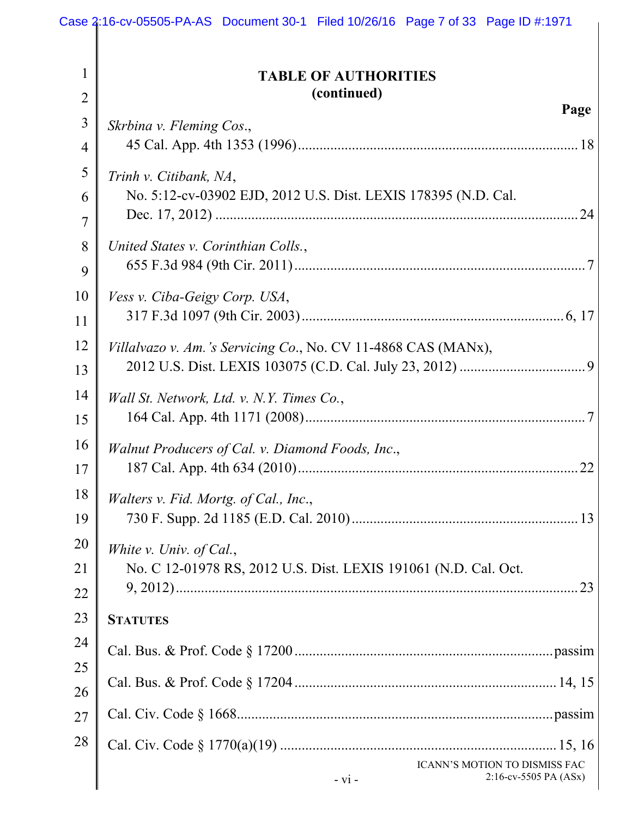|                                | Case 2:16-cv-05505-PA-AS Document 30-1 Filed 10/26/16 Page 7 of 33 Page ID #:1971 |  |  |
|--------------------------------|-----------------------------------------------------------------------------------|--|--|
| $\mathbf{1}$<br>$\overline{2}$ | <b>TABLE OF AUTHORITIES</b><br>(continued)                                        |  |  |
| 3                              | Page                                                                              |  |  |
| $\overline{4}$                 | Skrbina v. Fleming Cos.,                                                          |  |  |
| 5                              |                                                                                   |  |  |
| 6                              | Trinh v. Citibank, NA,                                                            |  |  |
|                                | No. 5:12-cv-03902 EJD, 2012 U.S. Dist. LEXIS 178395 (N.D. Cal.                    |  |  |
| 7                              |                                                                                   |  |  |
| 8                              | United States v. Corinthian Colls.,                                               |  |  |
| 9                              |                                                                                   |  |  |
| 10                             | Vess v. Ciba-Geigy Corp. USA,                                                     |  |  |
| 11                             |                                                                                   |  |  |
| 12                             | Villalvazo v. Am.'s Servicing Co., No. CV 11-4868 CAS (MANx),                     |  |  |
| 13                             |                                                                                   |  |  |
| 14                             | Wall St. Network, Ltd. v. N.Y. Times Co.,                                         |  |  |
| 15                             |                                                                                   |  |  |
| 16                             | Walnut Producers of Cal. v. Diamond Foods, Inc.,                                  |  |  |
| 17                             | 22                                                                                |  |  |
| 18                             | Walters v. Fid. Mortg. of Cal., Inc.,                                             |  |  |
| 19                             |                                                                                   |  |  |
| 20                             | White v. Univ. of Cal.,                                                           |  |  |
| 21                             | No. C 12-01978 RS, 2012 U.S. Dist. LEXIS 191061 (N.D. Cal. Oct.                   |  |  |
| 22                             |                                                                                   |  |  |
| 23                             | <b>STATUTES</b>                                                                   |  |  |
| 24                             |                                                                                   |  |  |
| 25                             |                                                                                   |  |  |
| 26                             |                                                                                   |  |  |
| 27                             |                                                                                   |  |  |
| 28                             |                                                                                   |  |  |
|                                | ICANN'S MOTION TO DISMISS FAC                                                     |  |  |
|                                | $2:16$ -cv-5505 PA (ASx)<br>$-vi -$                                               |  |  |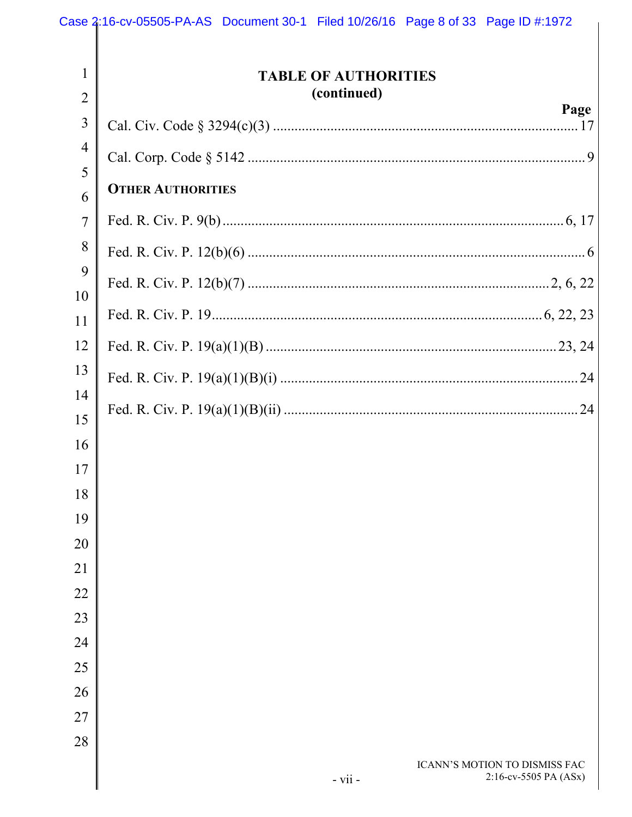| $\mathbf{1}$<br>$\overline{2}$ | <b>TABLE OF AUTHORITIES</b><br>(continued) |                                                        |
|--------------------------------|--------------------------------------------|--------------------------------------------------------|
| 3                              |                                            | Page                                                   |
| $\overline{4}$<br>5            |                                            |                                                        |
| 6                              | <b>OTHER AUTHORITIES</b>                   |                                                        |
| $\overline{7}$                 |                                            |                                                        |
| 8                              |                                            |                                                        |
| 9                              |                                            |                                                        |
| 10<br>11                       |                                            |                                                        |
| 12                             |                                            |                                                        |
| 13                             |                                            |                                                        |
| 14                             |                                            |                                                        |
| 15                             |                                            |                                                        |
| 16<br>17                       |                                            |                                                        |
| 18                             |                                            |                                                        |
| 19                             |                                            |                                                        |
| 20                             |                                            |                                                        |
| 21                             |                                            |                                                        |
| 22                             |                                            |                                                        |
| 23                             |                                            |                                                        |
| 24                             |                                            |                                                        |
| 25                             |                                            |                                                        |
| 26<br>27                       |                                            |                                                        |
| 28                             |                                            |                                                        |
|                                | - vii -                                    | ICANN'S MOTION TO DISMISS FAC<br>2:16-cv-5505 PA (ASx) |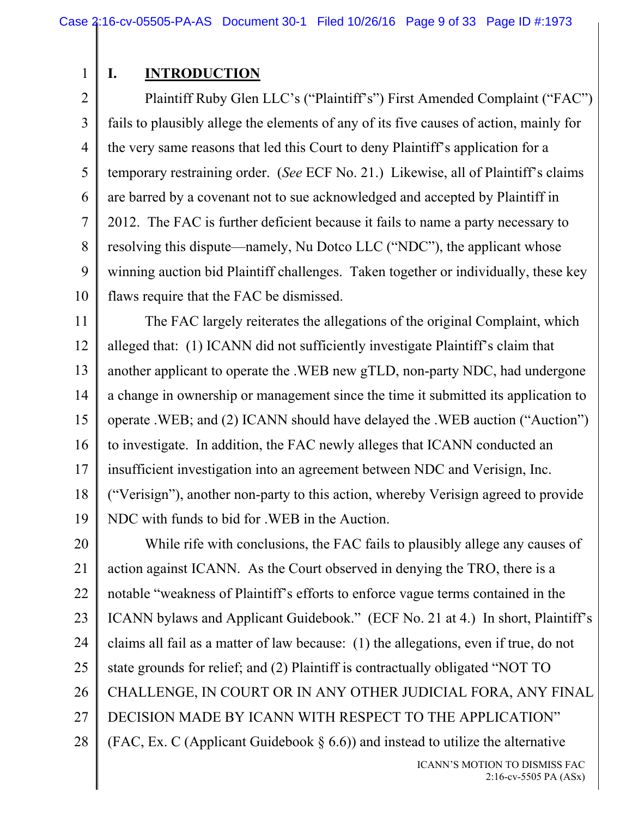1

# **I. INTRODUCTION**

2 3 4 5 6 7 8 9 10 Plaintiff Ruby Glen LLC's ("Plaintiff's") First Amended Complaint ("FAC") fails to plausibly allege the elements of any of its five causes of action, mainly for the very same reasons that led this Court to deny Plaintiff's application for a temporary restraining order. (*See* ECF No. 21.) Likewise, all of Plaintiff's claims are barred by a covenant not to sue acknowledged and accepted by Plaintiff in 2012. The FAC is further deficient because it fails to name a party necessary to resolving this dispute—namely, Nu Dotco LLC ("NDC"), the applicant whose winning auction bid Plaintiff challenges. Taken together or individually, these key flaws require that the FAC be dismissed.

11 12 13 14 15 16 17 18 19 The FAC largely reiterates the allegations of the original Complaint, which alleged that: (1) ICANN did not sufficiently investigate Plaintiff's claim that another applicant to operate the .WEB new gTLD, non-party NDC, had undergone a change in ownership or management since the time it submitted its application to operate .WEB; and (2) ICANN should have delayed the .WEB auction ("Auction") to investigate. In addition, the FAC newly alleges that ICANN conducted an insufficient investigation into an agreement between NDC and Verisign, Inc. ("Verisign"), another non-party to this action, whereby Verisign agreed to provide NDC with funds to bid for .WEB in the Auction.

20 21 22 23 24 25 26 27 28 While rife with conclusions, the FAC fails to plausibly allege any causes of action against ICANN. As the Court observed in denying the TRO, there is a notable "weakness of Plaintiff's efforts to enforce vague terms contained in the ICANN bylaws and Applicant Guidebook." (ECF No. 21 at 4.) In short, Plaintiff's claims all fail as a matter of law because: (1) the allegations, even if true, do not state grounds for relief; and (2) Plaintiff is contractually obligated "NOT TO CHALLENGE, IN COURT OR IN ANY OTHER JUDICIAL FORA, ANY FINAL DECISION MADE BY ICANN WITH RESPECT TO THE APPLICATION" (FAC, Ex. C (Applicant Guidebook  $\S$  6.6)) and instead to utilize the alternative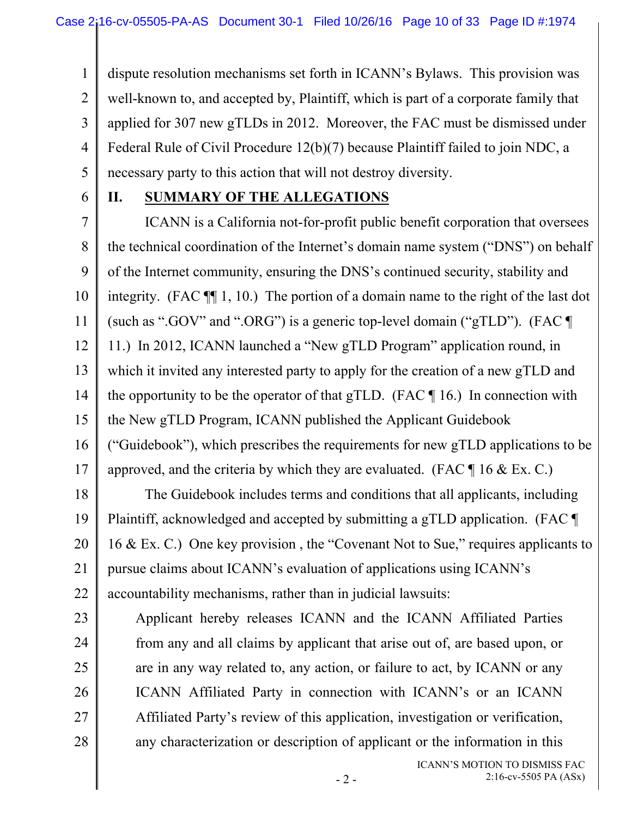1 2 3 4 5 dispute resolution mechanisms set forth in ICANN's Bylaws. This provision was well-known to, and accepted by, Plaintiff, which is part of a corporate family that applied for 307 new gTLDs in 2012. Moreover, the FAC must be dismissed under Federal Rule of Civil Procedure 12(b)(7) because Plaintiff failed to join NDC, a necessary party to this action that will not destroy diversity.

6

## **II. SUMMARY OF THE ALLEGATIONS**

7 8 9 10 11 12 13 14 15 16 17 18 ICANN is a California not-for-profit public benefit corporation that oversees the technical coordination of the Internet's domain name system ("DNS") on behalf of the Internet community, ensuring the DNS's continued security, stability and integrity. (FAC ¶¶ 1, 10.) The portion of a domain name to the right of the last dot (such as ".GOV" and ".ORG") is a generic top-level domain ("gTLD"). (FAC  $\P$ 11.) In 2012, ICANN launched a "New gTLD Program" application round, in which it invited any interested party to apply for the creation of a new gTLD and the opportunity to be the operator of that gTLD. (FAC  $\P$  16.) In connection with the New gTLD Program, ICANN published the Applicant Guidebook ("Guidebook"), which prescribes the requirements for new gTLD applications to be approved, and the criteria by which they are evaluated. (FAC  $\P$  16 & Ex. C.) The Guidebook includes terms and conditions that all applicants, including

19 20 21 22 Plaintiff, acknowledged and accepted by submitting a gTLD application. (FAC ¶ 16 & Ex. C.) One key provision , the "Covenant Not to Sue," requires applicants to pursue claims about ICANN's evaluation of applications using ICANN's accountability mechanisms, rather than in judicial lawsuits:

23 24 25 26 27 28 Applicant hereby releases ICANN and the ICANN Affiliated Parties from any and all claims by applicant that arise out of, are based upon, or are in any way related to, any action, or failure to act, by ICANN or any ICANN Affiliated Party in connection with ICANN's or an ICANN Affiliated Party's review of this application, investigation or verification, any characterization or description of applicant or the information in this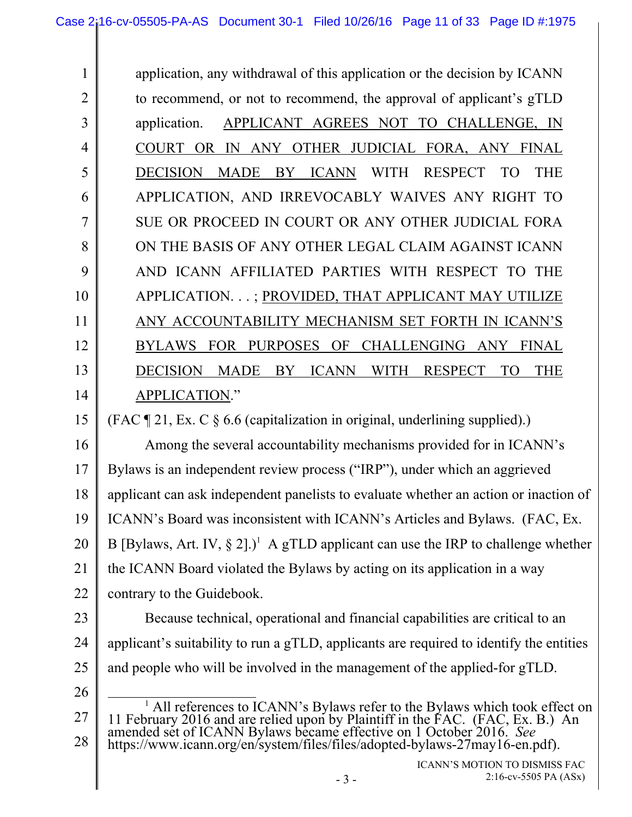1 2 3 4 5 6 7 8 9 10 11 12 13 14 application, any withdrawal of this application or the decision by ICANN to recommend, or not to recommend, the approval of applicant's gTLD application. APPLICANT AGREES NOT TO CHALLENGE, IN COURT OR IN ANY OTHER JUDICIAL FORA, ANY FINAL DECISION MADE BY ICANN WITH RESPECT TO THE APPLICATION, AND IRREVOCABLY WAIVES ANY RIGHT TO SUE OR PROCEED IN COURT OR ANY OTHER JUDICIAL FORA ON THE BASIS OF ANY OTHER LEGAL CLAIM AGAINST ICANN AND ICANN AFFILIATED PARTIES WITH RESPECT TO THE APPLICATION. . . ; PROVIDED, THAT APPLICANT MAY UTILIZE ANY ACCOUNTABILITY MECHANISM SET FORTH IN ICANN'S BYLAWS FOR PURPOSES OF CHALLENGING ANY FINAL DECISION MADE BY ICANN WITH RESPECT TO THE APPLICATION."

15 (FAC  $\P$  21, Ex. C  $\S$  6.6 (capitalization in original, underlining supplied).)

16 17 18 19 20 21 22 Among the several accountability mechanisms provided for in ICANN's Bylaws is an independent review process ("IRP"), under which an aggrieved applicant can ask independent panelists to evaluate whether an action or inaction of ICANN's Board was inconsistent with ICANN's Articles and Bylaws. (FAC, Ex. B [Bylaws, Art. IV,  $\S 2$ ].)<sup>1</sup> A gTLD applicant can use the IRP to challenge whether the ICANN Board violated the Bylaws by acting on its application in a way contrary to the Guidebook.

- 23 24 25 Because technical, operational and financial capabilities are critical to an applicant's suitability to run a gTLD, applicants are required to identify the entities and people who will be involved in the management of the applied-for gTLD.
- 26

<sup>27</sup>  28 <u>1</u> <sup>1</sup> All references to ICANN's Bylaws refer to the Bylaws which took effect on 11 February 2016 and are relied upon by Plaintiff in the FAC. (FAC, Ex. B.) An amended set of ICANN Bylaws became effective on 1 October 2016. https://www.icann.org/en/system/files/files/adopted-bylaws-27may16-en.pdf).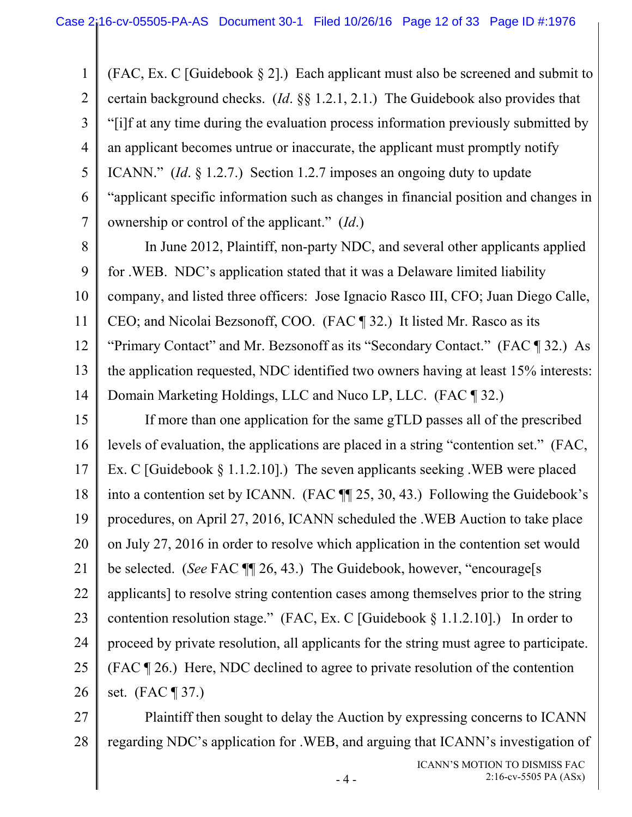1 2 3 4 5 6 7 (FAC, Ex. C [Guidebook  $\S 2$ ].) Each applicant must also be screened and submit to certain background checks. (*Id*. §§ 1.2.1, 2.1.) The Guidebook also provides that "[i]f at any time during the evaluation process information previously submitted by an applicant becomes untrue or inaccurate, the applicant must promptly notify ICANN." (*Id*. § 1.2.7.) Section 1.2.7 imposes an ongoing duty to update "applicant specific information such as changes in financial position and changes in ownership or control of the applicant." (*Id*.)

8 9 10 11 12 13 14 In June 2012, Plaintiff, non-party NDC, and several other applicants applied for .WEB. NDC's application stated that it was a Delaware limited liability company, and listed three officers: Jose Ignacio Rasco III, CFO; Juan Diego Calle, CEO; and Nicolai Bezsonoff, COO. (FAC ¶ 32.) It listed Mr. Rasco as its "Primary Contact" and Mr. Bezsonoff as its "Secondary Contact." (FAC ¶ 32.) As the application requested, NDC identified two owners having at least 15% interests: Domain Marketing Holdings, LLC and Nuco LP, LLC. (FAC ¶ 32.)

15 16 17 18 19 20 21 22 23 24 25 26 If more than one application for the same gTLD passes all of the prescribed levels of evaluation, the applications are placed in a string "contention set." (FAC, Ex. C [Guidebook § 1.1.2.10].) The seven applicants seeking .WEB were placed into a contention set by ICANN. (FAC ¶¶ 25, 30, 43.) Following the Guidebook's procedures, on April 27, 2016, ICANN scheduled the .WEB Auction to take place on July 27, 2016 in order to resolve which application in the contention set would be selected. (*See* FAC ¶¶ 26, 43.) The Guidebook, however, "encourage[s applicants] to resolve string contention cases among themselves prior to the string contention resolution stage." (FAC, Ex. C [Guidebook § 1.1.2.10].) In order to proceed by private resolution, all applicants for the string must agree to participate. (FAC ¶ 26.) Here, NDC declined to agree to private resolution of the contention set. (FAC ¶ 37.)

27 28 Plaintiff then sought to delay the Auction by expressing concerns to ICANN regarding NDC's application for .WEB, and arguing that ICANN's investigation of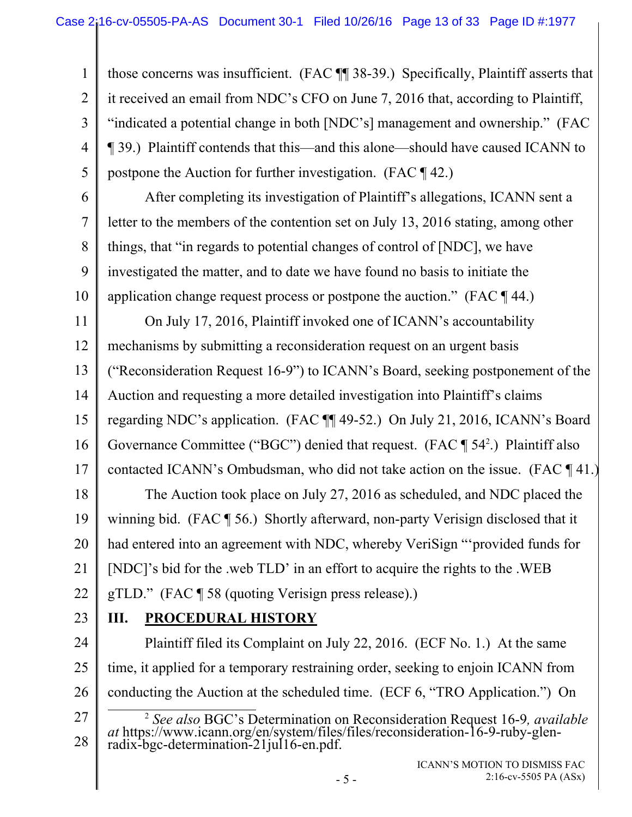2 3 4 those concerns was insufficient. (FAC ¶¶ 38-39.) Specifically, Plaintiff asserts that it received an email from NDC's CFO on June 7, 2016 that, according to Plaintiff, "indicated a potential change in both [NDC's] management and ownership." (FAC ¶ 39.) Plaintiff contends that this—and this alone—should have caused ICANN to postpone the Auction for further investigation. (FAC ¶ 42.)

6 7 8

9

10

5

1

After completing its investigation of Plaintiff's allegations, ICANN sent a letter to the members of the contention set on July 13, 2016 stating, among other things, that "in regards to potential changes of control of [NDC], we have investigated the matter, and to date we have found no basis to initiate the application change request process or postpone the auction." (FAC ¶ 44.)

11 12 13 14 15 On July 17, 2016, Plaintiff invoked one of ICANN's accountability mechanisms by submitting a reconsideration request on an urgent basis ("Reconsideration Request 16-9") to ICANN's Board, seeking postponement of the Auction and requesting a more detailed investigation into Plaintiff's claims regarding NDC's application. (FAC ¶¶ 49-52.) On July 21, 2016, ICANN's Board

16 Governance Committee ("BGC") denied that request. (FAC  $\P$  54<sup>2</sup>.) Plaintiff also

17 contacted ICANN's Ombudsman, who did not take action on the issue. (FAC ¶ 41.)

18 19 20 21 22 The Auction took place on July 27, 2016 as scheduled, and NDC placed the winning bid. (FAC ¶ 56.) Shortly afterward, non-party Verisign disclosed that it had entered into an agreement with NDC, whereby VeriSign "'provided funds for [NDC]'s bid for the .web TLD' in an effort to acquire the rights to the .WEB gTLD." (FAC ¶ 58 (quoting Verisign press release).)

23

# **III. PROCEDURAL HISTORY**

24 25 26 Plaintiff filed its Complaint on July 22, 2016. (ECF No. 1.) At the same time, it applied for a temporary restraining order, seeking to enjoin ICANN from conducting the Auction at the scheduled time. (ECF 6, "TRO Application.") On

<sup>27</sup>  28 2 *See also* BGC's Determination on Reconsideration Request 16-9*, available at* https://www.icann.org/en/system/files/files/reconsideration-16-9-ruby-glen- radix-bgc-determination-21jul16-en.pdf.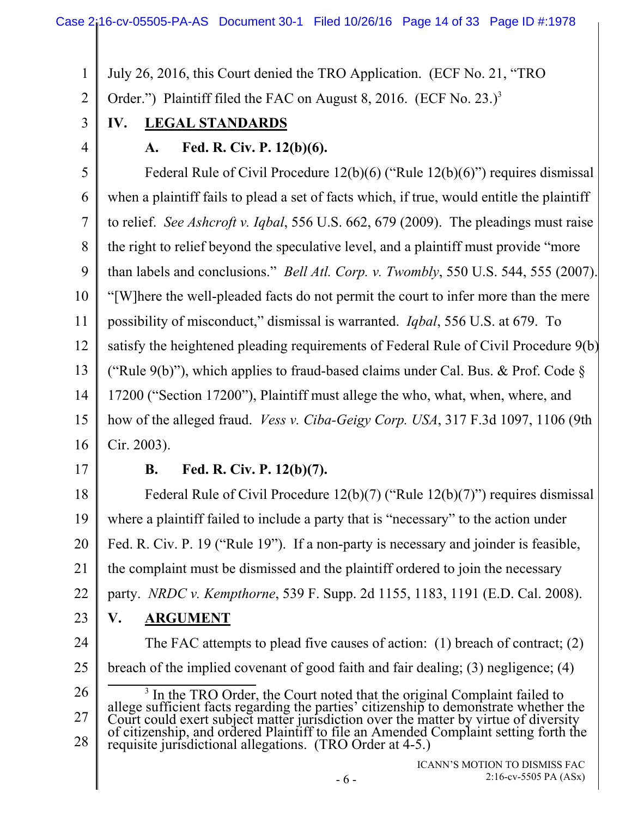#### Case 2:16-cv-05505-PA-AS Document 30-1 Filed 10/26/16 Page 14 of 33 Page ID #:1978

1 July 26, 2016, this Court denied the TRO Application. (ECF No. 21, "TRO

2 Order.") Plaintiff filed the FAC on August 8, 2016. (ECF No. 23.)<sup>3</sup>

3

4

# **IV. LEGAL STANDARDS**

## **A. Fed. R. Civ. P. 12(b)(6).**

5 6 7 8 9 10 11 12 13 14 15 16 Federal Rule of Civil Procedure 12(b)(6) ("Rule 12(b)(6)") requires dismissal when a plaintiff fails to plead a set of facts which, if true, would entitle the plaintiff to relief. *See Ashcroft v. Iqbal*, 556 U.S. 662, 679 (2009). The pleadings must raise the right to relief beyond the speculative level, and a plaintiff must provide "more than labels and conclusions." *Bell Atl. Corp. v. Twombly*, 550 U.S. 544, 555 (2007). "[W]here the well-pleaded facts do not permit the court to infer more than the mere possibility of misconduct," dismissal is warranted. *Iqbal*, 556 U.S. at 679. To satisfy the heightened pleading requirements of Federal Rule of Civil Procedure 9(b) ("Rule 9(b)"), which applies to fraud-based claims under Cal. Bus. & Prof. Code  $\delta$ 17200 ("Section 17200"), Plaintiff must allege the who, what, when, where, and how of the alleged fraud. *Vess v. Ciba-Geigy Corp. USA*, 317 F.3d 1097, 1106 (9th Cir. 2003).

17

## **B. Fed. R. Civ. P. 12(b)(7).**

18 19 20 21 22 Federal Rule of Civil Procedure 12(b)(7) ("Rule 12(b)(7)") requires dismissal where a plaintiff failed to include a party that is "necessary" to the action under Fed. R. Civ. P. 19 ("Rule 19"). If a non-party is necessary and joinder is feasible, the complaint must be dismissed and the plaintiff ordered to join the necessary party. *NRDC v. Kempthorne*, 539 F. Supp. 2d 1155, 1183, 1191 (E.D. Cal. 2008).

- 23
	- **V. ARGUMENT**

24 25 The FAC attempts to plead five causes of action: (1) breach of contract; (2) breach of the implied covenant of good faith and fair dealing; (3) negligence; (4)  $\frac{1}{3}$ 

26 27 28 <sup>3</sup> In the TRO Order, the Court noted that the original Complaint failed to allege sufficient facts regarding the parties' citizenship to demonstrate whether the Court could exert subject matter jurisdiction over the matt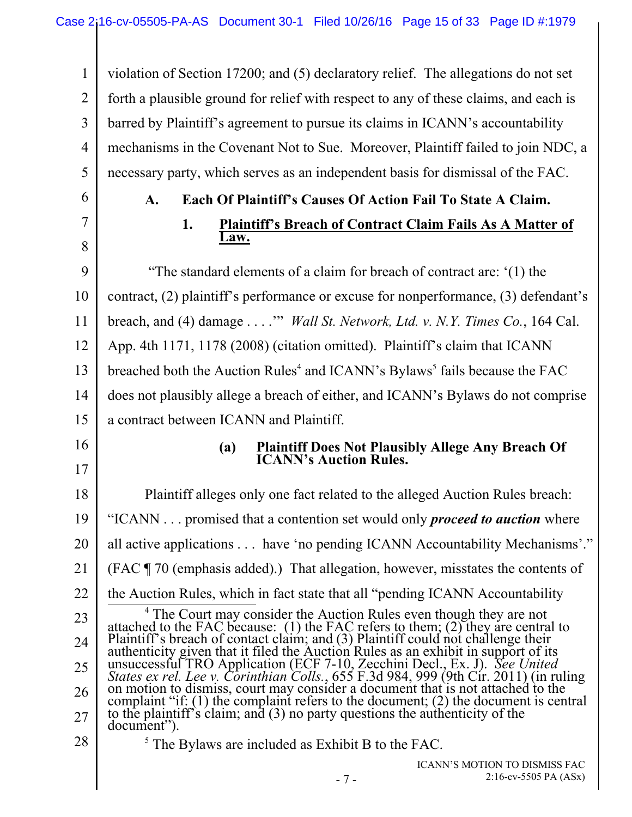1 2 3 4 5 violation of Section 17200; and (5) declaratory relief. The allegations do not set forth a plausible ground for relief with respect to any of these claims, and each is barred by Plaintiff's agreement to pursue its claims in ICANN's accountability mechanisms in the Covenant Not to Sue. Moreover, Plaintiff failed to join NDC, a necessary party, which serves as an independent basis for dismissal of the FAC.

6

7

8

## **A. Each Of Plaintiff's Causes Of Action Fail To State A Claim.**

#### **1. Plaintiff's Breach of Contract Claim Fails As A Matter of Law.**

9 10 11 12 13 14 15 "The standard elements of a claim for breach of contract are: '(1) the contract, (2) plaintiff's performance or excuse for nonperformance, (3) defendant's breach, and (4) damage . . . .'" *Wall St. Network, Ltd. v. N.Y. Times Co.*, 164 Cal. App. 4th 1171, 1178 (2008) (citation omitted). Plaintiff's claim that ICANN breached both the Auction Rules<sup>4</sup> and ICANN's Bylaws<sup>5</sup> fails because the FAC does not plausibly allege a breach of either, and ICANN's Bylaws do not comprise a contract between ICANN and Plaintiff.

16

17

#### **(a) Plaintiff Does Not Plausibly Allege Any Breach Of ICANN's Auction Rules.**

18 19 20 21 22 23 24 25 26 27 Plaintiff alleges only one fact related to the alleged Auction Rules breach: "ICANN . . . promised that a contention set would only *proceed to auction* where all active applications . . . have 'no pending ICANN Accountability Mechanisms'." (FAC ¶ 70 (emphasis added).) That allegation, however, misstates the contents of the Auction Rules, which in fact state that all "pending ICANN Accountability  $4$ <sup>4</sup> The Court may consider the Auction Rules even though they are not attached to the FAC because: (1) the FAC refers to them; (2) they are central to Plaintiff's breach of contact claim; and (3) Plaintiff could not challenge their *States ex rel. Lee v. Corinthian Colls.*, 655 F.3d 984, 999 (9th Cir. 2011) (in ruling on motion to dismiss, court may consider a document that is not attached to the complaint "if: (1) the complaint refers to the document; (2) the document is central to the plaintiff's claim; and (3) no party questions the authenticity of the document").  $<sup>5</sup>$  The Bylaws are included as Exhibit B to the FAC.</sup>

28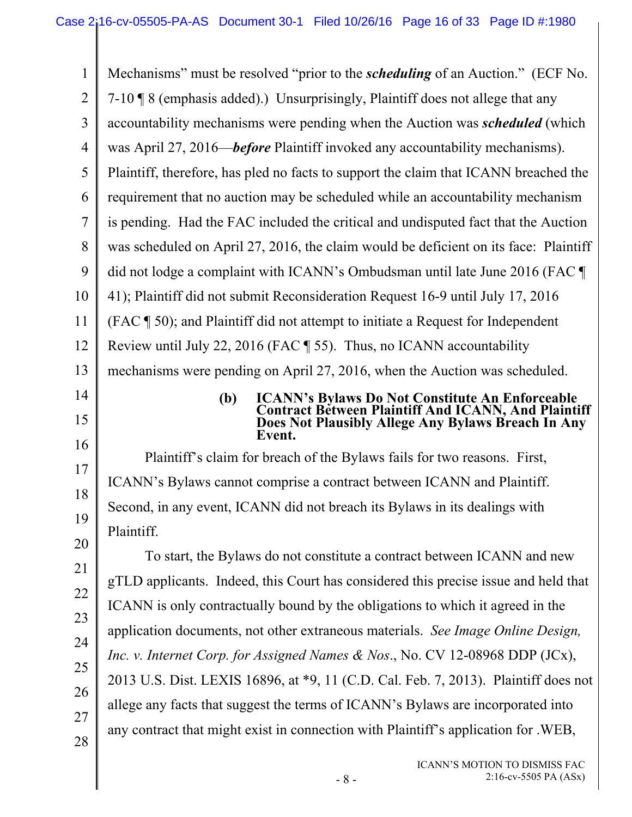| 1              | Mechanisms" must be resolved "prior to the <i>scheduling</i> of an Auction." (ECF No.                                 |  |  |  |
|----------------|-----------------------------------------------------------------------------------------------------------------------|--|--|--|
| $\overline{2}$ | 7-10   8 (emphasis added).) Unsurprisingly, Plaintiff does not allege that any                                        |  |  |  |
| 3              | accountability mechanisms were pending when the Auction was <i>scheduled</i> (which                                   |  |  |  |
| $\overline{4}$ | was April 27, 2016— <i>before</i> Plaintiff invoked any accountability mechanisms).                                   |  |  |  |
| 5              | Plaintiff, therefore, has pled no facts to support the claim that ICANN breached the                                  |  |  |  |
| 6              | requirement that no auction may be scheduled while an accountability mechanism                                        |  |  |  |
| $\overline{7}$ | is pending. Had the FAC included the critical and undisputed fact that the Auction                                    |  |  |  |
| 8              | was scheduled on April 27, 2016, the claim would be deficient on its face: Plaintiff                                  |  |  |  |
| 9              | did not lodge a complaint with ICANN's Ombudsman until late June 2016 (FAC                                            |  |  |  |
| 10             | 41); Plaintiff did not submit Reconsideration Request 16-9 until July 17, 2016                                        |  |  |  |
| 11             | (FAC \[ 50); and Plaintiff did not attempt to initiate a Request for Independent                                      |  |  |  |
| 12             | Review until July 22, 2016 (FAC $\parallel$ 55). Thus, no ICANN accountability                                        |  |  |  |
| 13             | mechanisms were pending on April 27, 2016, when the Auction was scheduled.                                            |  |  |  |
| 14             | <b>ICANN's Bylaws Do Not Constitute An Enforceable<br/>Contract Between Plaintiff And ICANN, And Plaintiff</b><br>(b) |  |  |  |
| 15             | Does Not Plausibly Allege Any Bylaws Breach In Any<br>Event.                                                          |  |  |  |
| 16             | Plaintiff's claim for breach of the Bylaws fails for two reasons. First,                                              |  |  |  |
| 17             | ICANN's Bylaws cannot comprise a contract between ICANN and Plaintiff.                                                |  |  |  |
| 18             | Second, in any event, ICANN did not breach its Bylaws in its dealings with                                            |  |  |  |
| 19             | Plaintiff.                                                                                                            |  |  |  |
| 20             | To start, the Bylaws do not constitute a contract between ICANN and new                                               |  |  |  |
| 21             | gTLD applicants. Indeed, this Court has considered this precise issue and held that                                   |  |  |  |
| 22             | ICANN is only contractually bound by the obligations to which it agreed in the                                        |  |  |  |
| 23             | application documents, not other extraneous materials. See Image Online Design,                                       |  |  |  |
| 24             | Inc. v. Internet Corp. for Assigned Names & Nos., No. CV 12-08968 DDP (JCx),                                          |  |  |  |
| 25             | 2013 U.S. Dist. LEXIS 16896, at *9, 11 (C.D. Cal. Feb. 7, 2013). Plaintiff does not                                   |  |  |  |
| 26             | allege any facts that suggest the terms of ICANN's Bylaws are incorporated into                                       |  |  |  |
| 27             | any contract that might exist in connection with Plaintiff's application for . WEB,                                   |  |  |  |
| 28             | ICANN'S MOTION TO DISMISS FAC<br>2:16-cv-5505 PA (ASx)<br>$-8-$                                                       |  |  |  |
|                |                                                                                                                       |  |  |  |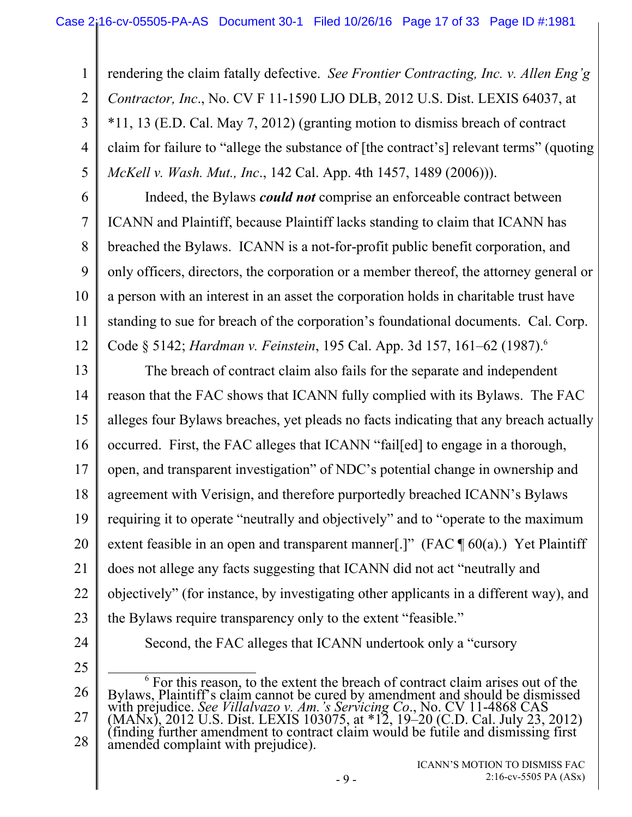rendering the claim fatally defective. *See Frontier Contracting, Inc. v. Allen Eng'g Contractor, Inc*., No. CV F 11-1590 LJO DLB, 2012 U.S. Dist. LEXIS 64037, at \*11, 13 (E.D. Cal. May 7, 2012) (granting motion to dismiss breach of contract claim for failure to "allege the substance of [the contract's] relevant terms" (quoting *McKell v. Wash. Mut., Inc*., 142 Cal. App. 4th 1457, 1489 (2006))).

6 7 8 9 10 11 12 Indeed, the Bylaws *could not* comprise an enforceable contract between ICANN and Plaintiff, because Plaintiff lacks standing to claim that ICANN has breached the Bylaws. ICANN is a not-for-profit public benefit corporation, and only officers, directors, the corporation or a member thereof, the attorney general or a person with an interest in an asset the corporation holds in charitable trust have standing to sue for breach of the corporation's foundational documents. Cal. Corp. Code § 5142; *Hardman v. Feinstein*, 195 Cal. App. 3d 157, 161–62 (1987).6

13 14 15 16 17 18 19 20 21 22 23 24 The breach of contract claim also fails for the separate and independent reason that the FAC shows that ICANN fully complied with its Bylaws. The FAC alleges four Bylaws breaches, yet pleads no facts indicating that any breach actually occurred. First, the FAC alleges that ICANN "fail[ed] to engage in a thorough, open, and transparent investigation" of NDC's potential change in ownership and agreement with Verisign, and therefore purportedly breached ICANN's Bylaws requiring it to operate "neutrally and objectively" and to "operate to the maximum extent feasible in an open and transparent manner[.]" (FAC  $\P$  60(a).) Yet Plaintiff does not allege any facts suggesting that ICANN did not act "neutrally and objectively" (for instance, by investigating other applicants in a different way), and the Bylaws require transparency only to the extent "feasible."

25

1

2

3

4

5

Second, the FAC alleges that ICANN undertook only a "cursory

<sup>26</sup>  27 28 6 <sup>6</sup> For this reason, to the extent the breach of contract claim arises out of the Bylaws, Plaintiff's claim cannot be cured by amendment and should be dismissed bytaws, I tank is evaluated by the contract by difference to the ST 11-4868 CAS<br>with prejudice. See Villalvazo v. Am.'s Servicing Co., No. CV 11-4868 CAS<br>(MANx), 2012 U.S. Dist. LEXIS 103075, at \*12, 19–20 (C.D. Cal. July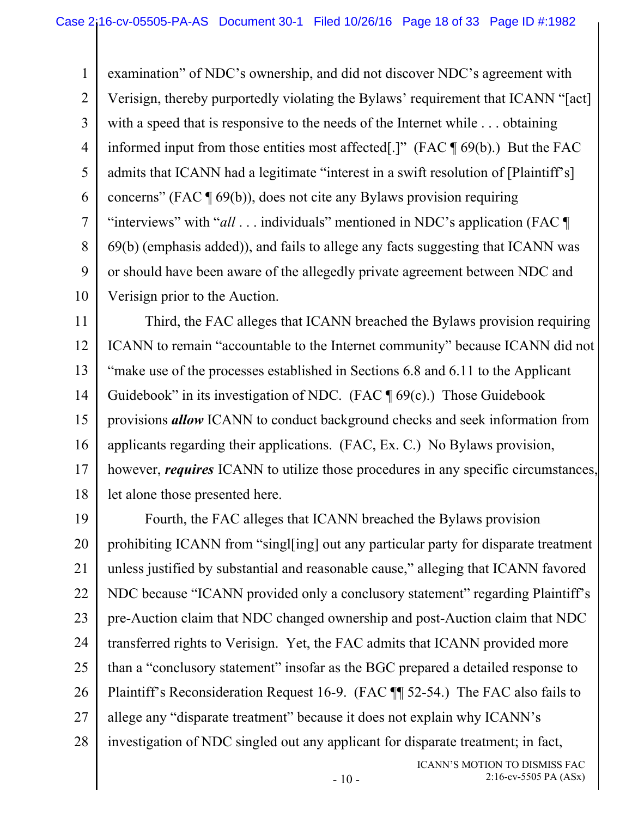1 2 3 4 5 6 7 8 9 10 examination" of NDC's ownership, and did not discover NDC's agreement with Verisign, thereby purportedly violating the Bylaws' requirement that ICANN "[act] with a speed that is responsive to the needs of the Internet while . . . obtaining informed input from those entities most affected[.]" (FAC ¶ 69(b).) But the FAC admits that ICANN had a legitimate "interest in a swift resolution of [Plaintiff's] concerns" (FAC ¶ 69(b)), does not cite any Bylaws provision requiring "interviews" with "*all* . . . individuals" mentioned in NDC's application (FAC ¶ 69(b) (emphasis added)), and fails to allege any facts suggesting that ICANN was or should have been aware of the allegedly private agreement between NDC and Verisign prior to the Auction.

11 12 13 14 15 16 17 18 Third, the FAC alleges that ICANN breached the Bylaws provision requiring ICANN to remain "accountable to the Internet community" because ICANN did not "make use of the processes established in Sections 6.8 and 6.11 to the Applicant Guidebook" in its investigation of NDC. (FAC  $\P$  69(c).) Those Guidebook provisions *allow* ICANN to conduct background checks and seek information from applicants regarding their applications. (FAC, Ex. C.) No Bylaws provision, however, *requires* ICANN to utilize those procedures in any specific circumstances, let alone those presented here.

19 20 21 22 23 24 25 26 27 28 Fourth, the FAC alleges that ICANN breached the Bylaws provision prohibiting ICANN from "singl[ing] out any particular party for disparate treatment unless justified by substantial and reasonable cause," alleging that ICANN favored NDC because "ICANN provided only a conclusory statement" regarding Plaintiff's pre-Auction claim that NDC changed ownership and post-Auction claim that NDC transferred rights to Verisign. Yet, the FAC admits that ICANN provided more than a "conclusory statement" insofar as the BGC prepared a detailed response to Plaintiff's Reconsideration Request 16-9. (FAC ¶¶ 52-54.) The FAC also fails to allege any "disparate treatment" because it does not explain why ICANN's investigation of NDC singled out any applicant for disparate treatment; in fact,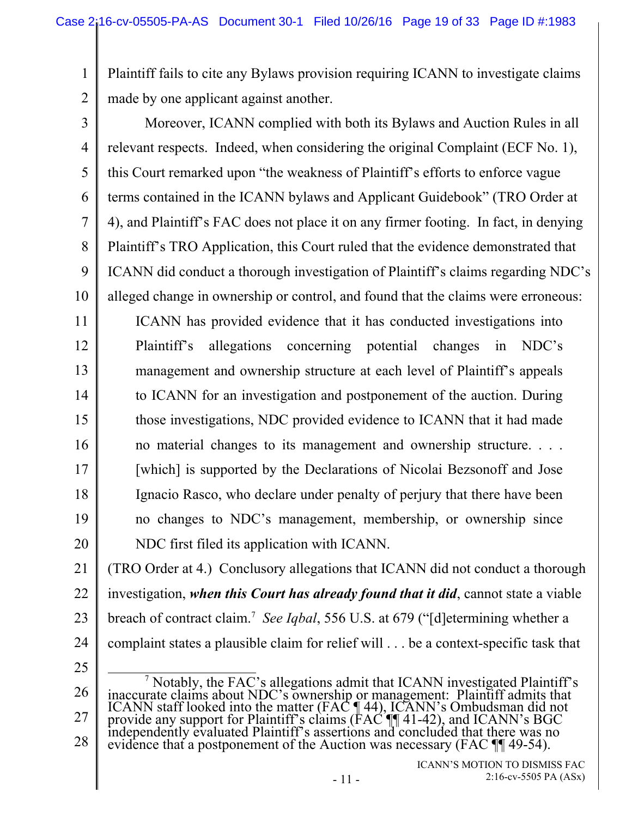1 2 Plaintiff fails to cite any Bylaws provision requiring ICANN to investigate claims made by one applicant against another.

3 4 5 6 7 8 9 10 Moreover, ICANN complied with both its Bylaws and Auction Rules in all relevant respects. Indeed, when considering the original Complaint (ECF No. 1), this Court remarked upon "the weakness of Plaintiff's efforts to enforce vague terms contained in the ICANN bylaws and Applicant Guidebook" (TRO Order at 4), and Plaintiff's FAC does not place it on any firmer footing. In fact, in denying Plaintiff's TRO Application, this Court ruled that the evidence demonstrated that ICANN did conduct a thorough investigation of Plaintiff's claims regarding NDC's alleged change in ownership or control, and found that the claims were erroneous:

11 12 13 14 15 16 17 18 19 20 ICANN has provided evidence that it has conducted investigations into Plaintiff's allegations concerning potential changes in NDC's management and ownership structure at each level of Plaintiff's appeals to ICANN for an investigation and postponement of the auction. During those investigations, NDC provided evidence to ICANN that it had made no material changes to its management and ownership structure. . . . [which] is supported by the Declarations of Nicolai Bezsonoff and Jose Ignacio Rasco, who declare under penalty of perjury that there have been no changes to NDC's management, membership, or ownership since NDC first filed its application with ICANN.

21 22 23 24 (TRO Order at 4.) Conclusory allegations that ICANN did not conduct a thorough investigation, *when this Court has already found that it did*, cannot state a viable breach of contract claim.<sup>7</sup> See Iqbal, 556 U.S. at 679 ("[d] etermining whether a complaint states a plausible claim for relief will . . . be a context-specific task that

25

26 27 28  $\frac{1}{7}$ <sup>7</sup> Notably, the FAC's allegations admit that ICANN investigated Plaintiff's inaccurate claims about NDC's ownership or management: Plaintiff admits that ICANN staff looked into the matter (FAC  $\P$ 44), ICANN's Ombudsman d evidence that a postponement of the Auction was necessary (FAC  $\P$  49-54).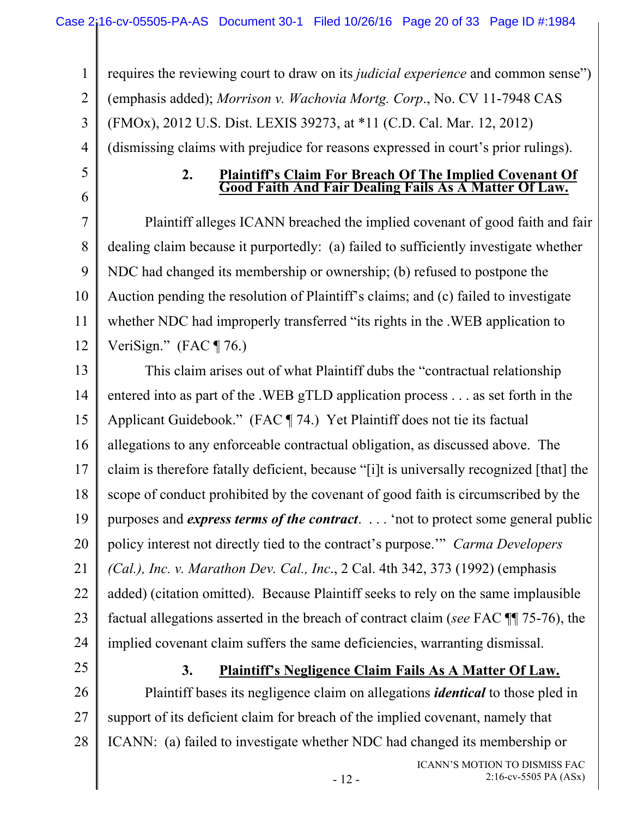1 2 3 4 requires the reviewing court to draw on its *judicial experience* and common sense") (emphasis added); *Morrison v. Wachovia Mortg. Corp*., No. CV 11-7948 CAS (FMOx), 2012 U.S. Dist. LEXIS 39273, at \*11 (C.D. Cal. Mar. 12, 2012) (dismissing claims with prejudice for reasons expressed in court's prior rulings).

# 5 6

# **2. Plaintiff's Claim For Breach Of The Implied Covenant Of Good Faith And Fair Dealing Fails As A Matter Of Law.**

7 8 9 10 11 12 Plaintiff alleges ICANN breached the implied covenant of good faith and fair dealing claim because it purportedly: (a) failed to sufficiently investigate whether NDC had changed its membership or ownership; (b) refused to postpone the Auction pending the resolution of Plaintiff's claims; and (c) failed to investigate whether NDC had improperly transferred "its rights in the .WEB application to VeriSign."  $(FAC \P 76.)$ 

13 14 15 16 17 18 19 20 21 22 23 24 This claim arises out of what Plaintiff dubs the "contractual relationship entered into as part of the .WEB gTLD application process . . . as set forth in the Applicant Guidebook." (FAC ¶ 74.) Yet Plaintiff does not tie its factual allegations to any enforceable contractual obligation, as discussed above. The claim is therefore fatally deficient, because "[i]t is universally recognized [that] the scope of conduct prohibited by the covenant of good faith is circumscribed by the purposes and *express terms of the contract*. . . . 'not to protect some general public policy interest not directly tied to the contract's purpose.'" *Carma Developers (Cal.), Inc. v. Marathon Dev. Cal., Inc*., 2 Cal. 4th 342, 373 (1992) (emphasis added) (citation omitted). Because Plaintiff seeks to rely on the same implausible factual allegations asserted in the breach of contract claim (*see* FAC ¶¶ 75-76), the implied covenant claim suffers the same deficiencies, warranting dismissal.

25

## **3. Plaintiff's Negligence Claim Fails As A Matter Of Law.**

26 27 28 Plaintiff bases its negligence claim on allegations *identical* to those pled in support of its deficient claim for breach of the implied covenant, namely that ICANN: (a) failed to investigate whether NDC had changed its membership or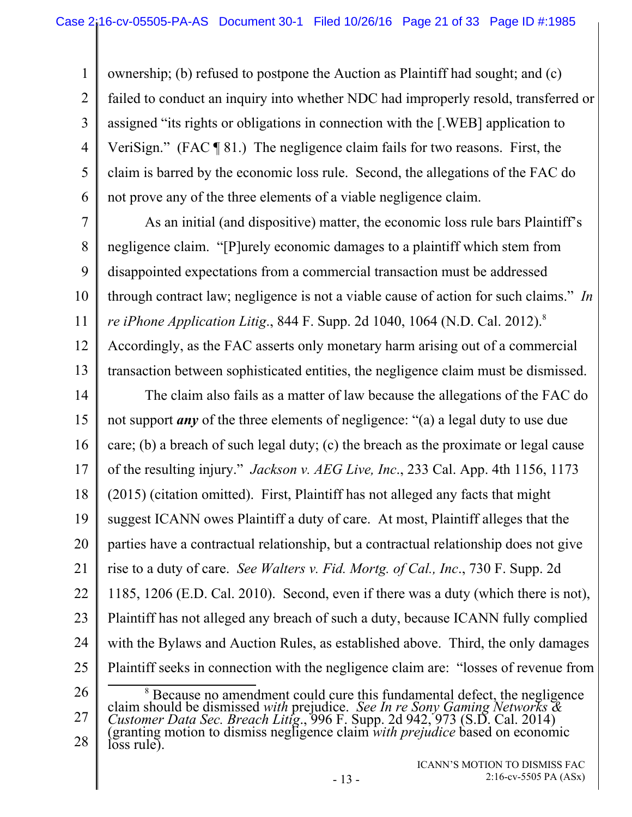1 2 3 4 5 6 ownership; (b) refused to postpone the Auction as Plaintiff had sought; and (c) failed to conduct an inquiry into whether NDC had improperly resold, transferred or assigned "its rights or obligations in connection with the [.WEB] application to VeriSign." (FAC ¶ 81.) The negligence claim fails for two reasons. First, the claim is barred by the economic loss rule. Second, the allegations of the FAC do not prove any of the three elements of a viable negligence claim.

7 8 9 10 11 12 As an initial (and dispositive) matter, the economic loss rule bars Plaintiff's negligence claim. "[P]urely economic damages to a plaintiff which stem from disappointed expectations from a commercial transaction must be addressed through contract law; negligence is not a viable cause of action for such claims." *In re iPhone Application Litig.*, 844 F. Supp. 2d 1040, 1064 (N.D. Cal. 2012).<sup>8</sup>

13 Accordingly, as the FAC asserts only monetary harm arising out of a commercial transaction between sophisticated entities, the negligence claim must be dismissed.

14 15 16 17 18 19 20 21 22 23 24 25 26 The claim also fails as a matter of law because the allegations of the FAC do not support *any* of the three elements of negligence: "(a) a legal duty to use due care; (b) a breach of such legal duty; (c) the breach as the proximate or legal cause of the resulting injury." *Jackson v. AEG Live, Inc*., 233 Cal. App. 4th 1156, 1173 (2015) (citation omitted). First, Plaintiff has not alleged any facts that might suggest ICANN owes Plaintiff a duty of care. At most, Plaintiff alleges that the parties have a contractual relationship, but a contractual relationship does not give rise to a duty of care. *See Walters v. Fid. Mortg. of Cal., Inc*., 730 F. Supp. 2d 1185, 1206 (E.D. Cal. 2010). Second, even if there was a duty (which there is not), Plaintiff has not alleged any breach of such a duty, because ICANN fully complied with the Bylaws and Auction Rules, as established above. Third, the only damages Plaintiff seeks in connection with the negligence claim are: "losses of revenue from 8

27 28 <sup>8</sup> Because no amendment could cure this fundamental defect, the negligence<br>claim should be dismissed *with* prejudice. *See In re Sony Gaming Networks &*<br>*Customer Data Sec. Breach Litig.*, 996 F. Supp. 2d 942, 973 (S.D. loss rule).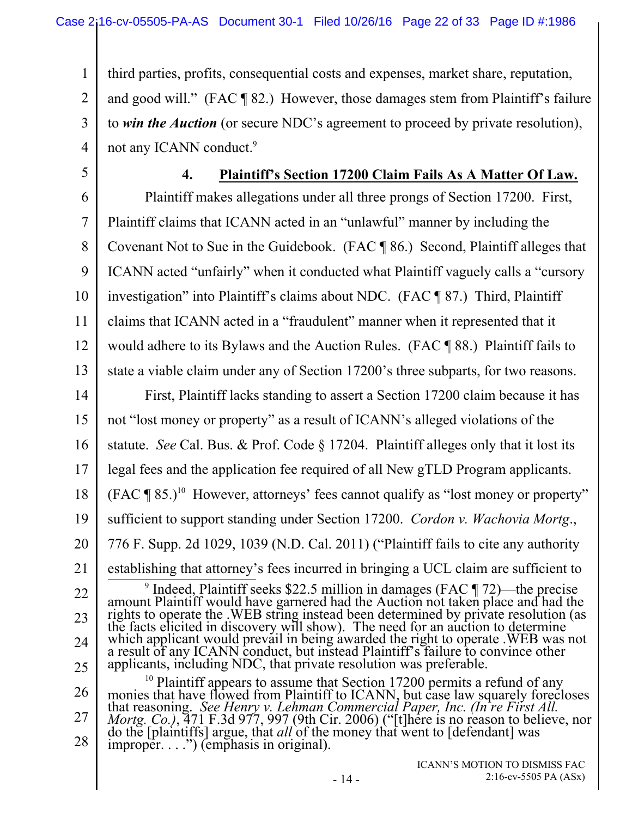1 2 3 4 third parties, profits, consequential costs and expenses, market share, reputation, and good will." (FAC ¶ 82.) However, those damages stem from Plaintiff's failure to *win the Auction* (or secure NDC's agreement to proceed by private resolution), not any ICANN conduct.<sup>9</sup>

5

## **4. Plaintiff's Section 17200 Claim Fails As A Matter Of Law.**

6 7 8 9 10 11 12 13 14 15 16 17 18 19 20 21 22 23 24 25 26 27 28 Plaintiff makes allegations under all three prongs of Section 17200. First, Plaintiff claims that ICANN acted in an "unlawful" manner by including the Covenant Not to Sue in the Guidebook. (FAC ¶ 86.) Second, Plaintiff alleges that ICANN acted "unfairly" when it conducted what Plaintiff vaguely calls a "cursory investigation" into Plaintiff's claims about NDC. (FAC ¶ 87.) Third, Plaintiff claims that ICANN acted in a "fraudulent" manner when it represented that it would adhere to its Bylaws and the Auction Rules. (FAC ¶ 88.) Plaintiff fails to state a viable claim under any of Section 17200's three subparts, for two reasons. First, Plaintiff lacks standing to assert a Section 17200 claim because it has not "lost money or property" as a result of ICANN's alleged violations of the statute. *See* Cal. Bus. & Prof. Code § 17204. Plaintiff alleges only that it lost its legal fees and the application fee required of all New gTLD Program applicants.  $(FAC \P 85.)$ <sup>10</sup> However, attorneys' fees cannot qualify as "lost money or property" sufficient to support standing under Section 17200. *Cordon v. Wachovia Mortg*., 776 F. Supp. 2d 1029, 1039 (N.D. Cal. 2011) ("Plaintiff fails to cite any authority establishing that attorney's fees incurred in bringing a UCL claim are sufficient to  $9 \text{ Indeed}$ , Plaintiff seeks \$22.5 million in damages (FAC  $\P$  72)—the precise <sup>9</sup> Indeed, Plaintiff seeks \$22.5 million in damages (FAC  $\P$  72)—the precise<br>amount Plaintiff would have garnered had the Auction not taken place and had the<br>rights to operate the .WEB string instead been determined by p which applicant would prevail in being awarded the right to operate .WEB was not a result of any ICANN conduct, but instead Plaintiff's failure to convince other a result of any ICANN conduct, but instead Plaintiff's failure to convince other applicants, including NDC, that private resolution was preferable. <sup>10</sup> Plaintiff appears to assume that Section 17200 permits a refund of any<br>monies that have flowed from Plaintiff to ICANN, but case law squarely forecloses<br>that reasoning. *See Henry v. Lehman Commercial Paper, Inc. (In*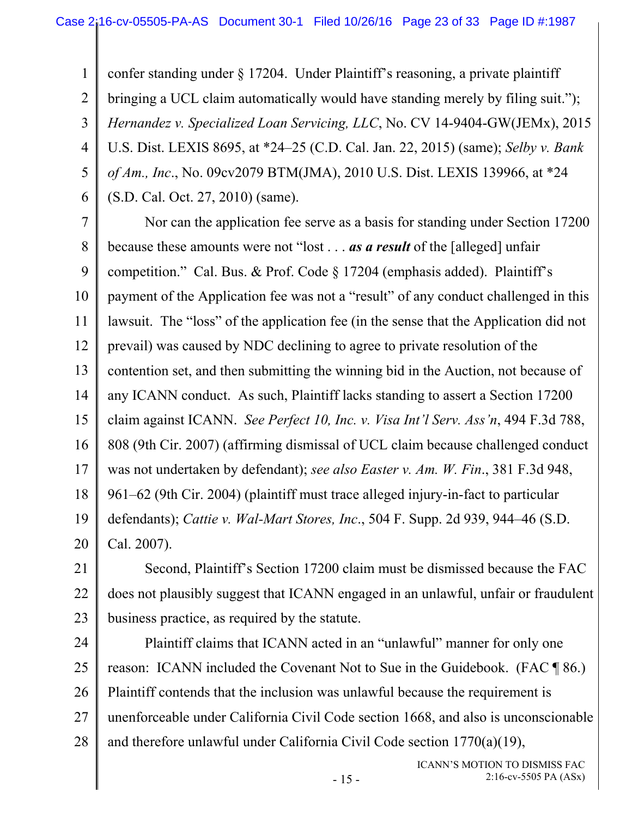1 2 3 4 5 6 confer standing under § 17204. Under Plaintiff's reasoning, a private plaintiff bringing a UCL claim automatically would have standing merely by filing suit."); *Hernandez v. Specialized Loan Servicing, LLC*, No. CV 14-9404-GW(JEMx), 2015 U.S. Dist. LEXIS 8695, at \*24–25 (C.D. Cal. Jan. 22, 2015) (same); *Selby v. Bank of Am., Inc*., No. 09cv2079 BTM(JMA), 2010 U.S. Dist. LEXIS 139966, at \*24 (S.D. Cal. Oct. 27, 2010) (same).

7 8 9 10 11 12 13 14 15 16 17 18 19 20 Nor can the application fee serve as a basis for standing under Section 17200 because these amounts were not "lost . . . *as a result* of the [alleged] unfair competition." Cal. Bus. & Prof. Code § 17204 (emphasis added). Plaintiff's payment of the Application fee was not a "result" of any conduct challenged in this lawsuit. The "loss" of the application fee (in the sense that the Application did not prevail) was caused by NDC declining to agree to private resolution of the contention set, and then submitting the winning bid in the Auction, not because of any ICANN conduct. As such, Plaintiff lacks standing to assert a Section 17200 claim against ICANN. *See Perfect 10, Inc. v. Visa Int'l Serv. Ass'n*, 494 F.3d 788, 808 (9th Cir. 2007) (affirming dismissal of UCL claim because challenged conduct was not undertaken by defendant); *see also Easter v. Am. W. Fin*., 381 F.3d 948, 961–62 (9th Cir. 2004) (plaintiff must trace alleged injury-in-fact to particular defendants); *Cattie v. Wal-Mart Stores, Inc*., 504 F. Supp. 2d 939, 944–46 (S.D. Cal. 2007).

21 22 23 Second, Plaintiff's Section 17200 claim must be dismissed because the FAC does not plausibly suggest that ICANN engaged in an unlawful, unfair or fraudulent business practice, as required by the statute.

24 25 26 27 28 Plaintiff claims that ICANN acted in an "unlawful" manner for only one reason: ICANN included the Covenant Not to Sue in the Guidebook. (FAC ¶ 86.) Plaintiff contends that the inclusion was unlawful because the requirement is unenforceable under California Civil Code section 1668, and also is unconscionable and therefore unlawful under California Civil Code section 1770(a)(19),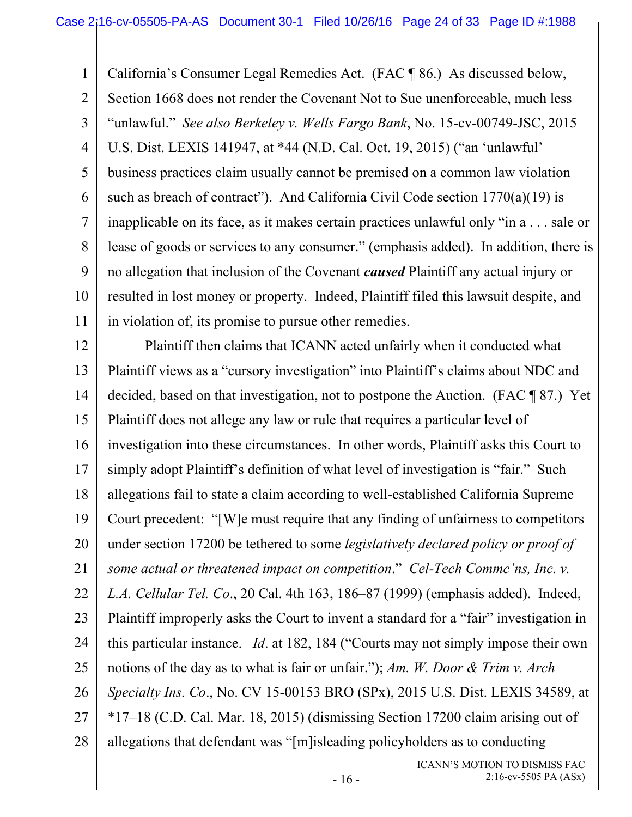1 2 3 4 5 6 7 8 9 10 11 California's Consumer Legal Remedies Act. (FAC ¶ 86.) As discussed below, Section 1668 does not render the Covenant Not to Sue unenforceable, much less "unlawful." *See also Berkeley v. Wells Fargo Bank*, No. 15-cv-00749-JSC, 2015 U.S. Dist. LEXIS 141947, at \*44 (N.D. Cal. Oct. 19, 2015) ("an 'unlawful' business practices claim usually cannot be premised on a common law violation such as breach of contract"). And California Civil Code section  $1770(a)(19)$  is inapplicable on its face, as it makes certain practices unlawful only "in a . . . sale or lease of goods or services to any consumer." (emphasis added). In addition, there is no allegation that inclusion of the Covenant *caused* Plaintiff any actual injury or resulted in lost money or property. Indeed, Plaintiff filed this lawsuit despite, and in violation of, its promise to pursue other remedies.

12 13 14 15 16 17 18 19 20 21 22 23 24 25 26 27 28 Plaintiff then claims that ICANN acted unfairly when it conducted what Plaintiff views as a "cursory investigation" into Plaintiff's claims about NDC and decided, based on that investigation, not to postpone the Auction. (FAC ¶ 87.) Yet Plaintiff does not allege any law or rule that requires a particular level of investigation into these circumstances. In other words, Plaintiff asks this Court to simply adopt Plaintiff's definition of what level of investigation is "fair." Such allegations fail to state a claim according to well-established California Supreme Court precedent: "[W]e must require that any finding of unfairness to competitors under section 17200 be tethered to some *legislatively declared policy or proof of some actual or threatened impact on competition*." *Cel-Tech Commc'ns, Inc. v. L.A. Cellular Tel. Co*., 20 Cal. 4th 163, 186–87 (1999) (emphasis added). Indeed, Plaintiff improperly asks the Court to invent a standard for a "fair" investigation in this particular instance. *Id*. at 182, 184 ("Courts may not simply impose their own notions of the day as to what is fair or unfair."); *Am. W. Door & Trim v. Arch Specialty Ins. Co*., No. CV 15-00153 BRO (SPx), 2015 U.S. Dist. LEXIS 34589, at \*17–18 (C.D. Cal. Mar. 18, 2015) (dismissing Section 17200 claim arising out of allegations that defendant was "[m]isleading policyholders as to conducting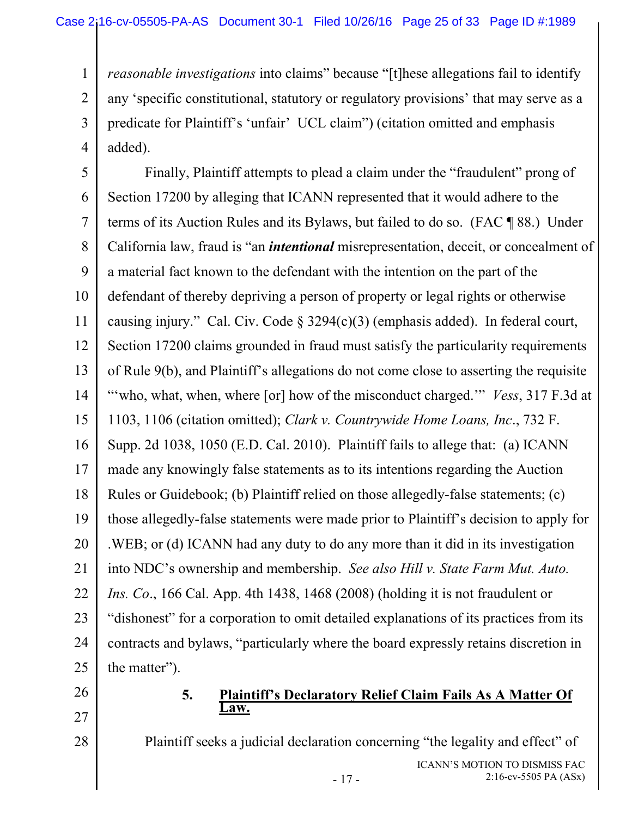1 2 3 4 *reasonable investigations* into claims" because "[t]hese allegations fail to identify any 'specific constitutional, statutory or regulatory provisions' that may serve as a predicate for Plaintiff's 'unfair' UCL claim") (citation omitted and emphasis added).

5 6 7 8 9 10 11 12 13 14 15 16 17 18 19 20 21 22 23 24 25 Finally, Plaintiff attempts to plead a claim under the "fraudulent" prong of Section 17200 by alleging that ICANN represented that it would adhere to the terms of its Auction Rules and its Bylaws, but failed to do so. (FAC ¶ 88.) Under California law, fraud is "an *intentional* misrepresentation, deceit, or concealment of a material fact known to the defendant with the intention on the part of the defendant of thereby depriving a person of property or legal rights or otherwise causing injury." Cal. Civ. Code § 3294(c)(3) (emphasis added). In federal court, Section 17200 claims grounded in fraud must satisfy the particularity requirements of Rule 9(b), and Plaintiff's allegations do not come close to asserting the requisite "who, what, when, where [or] how of the misconduct charged." *Vess*, 317 F.3d at 1103, 1106 (citation omitted); *Clark v. Countrywide Home Loans, Inc*., 732 F. Supp. 2d 1038, 1050 (E.D. Cal. 2010). Plaintiff fails to allege that: (a) ICANN made any knowingly false statements as to its intentions regarding the Auction Rules or Guidebook; (b) Plaintiff relied on those allegedly-false statements; (c) those allegedly-false statements were made prior to Plaintiff's decision to apply for .WEB; or (d) ICANN had any duty to do any more than it did in its investigation into NDC's ownership and membership. *See also Hill v. State Farm Mut. Auto. Ins. Co*., 166 Cal. App. 4th 1438, 1468 (2008) (holding it is not fraudulent or "dishonest" for a corporation to omit detailed explanations of its practices from its contracts and bylaws, "particularly where the board expressly retains discretion in the matter").

26

27

28

#### **5. Plaintiff's Declaratory Relief Claim Fails As A Matter Of Law.**

Plaintiff seeks a judicial declaration concerning "the legality and effect" of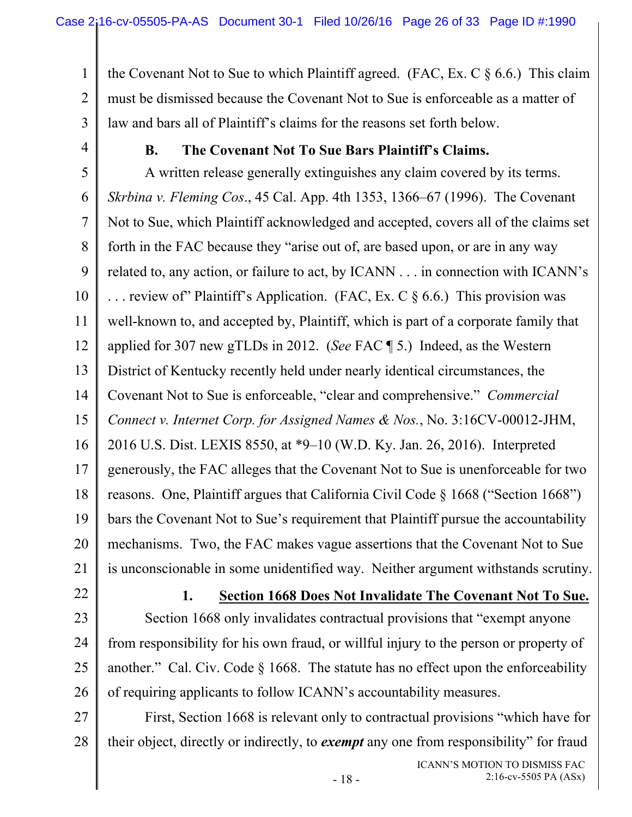1 2 3 the Covenant Not to Sue to which Plaintiff agreed. (FAC, Ex. C  $\S 6.6$ .) This claim must be dismissed because the Covenant Not to Sue is enforceable as a matter of law and bars all of Plaintiff's claims for the reasons set forth below.

4

## **B. The Covenant Not To Sue Bars Plaintiff's Claims.**

5 6 7 8 9 10 11 12 13 14 15 16 17 18 19 20 21 A written release generally extinguishes any claim covered by its terms. *Skrbina v. Fleming Cos*., 45 Cal. App. 4th 1353, 1366–67 (1996). The Covenant Not to Sue, which Plaintiff acknowledged and accepted, covers all of the claims set forth in the FAC because they "arise out of, are based upon, or are in any way related to, any action, or failure to act, by ICANN . . . in connection with ICANN's ... review of Plaintiff's Application. (FAC, Ex. C  $\S 6.6$ .) This provision was well-known to, and accepted by, Plaintiff, which is part of a corporate family that applied for 307 new gTLDs in 2012. (*See* FAC ¶ 5.) Indeed, as the Western District of Kentucky recently held under nearly identical circumstances, the Covenant Not to Sue is enforceable, "clear and comprehensive." *Commercial Connect v. Internet Corp. for Assigned Names & Nos.*, No. 3:16CV-00012-JHM, 2016 U.S. Dist. LEXIS 8550, at \*9–10 (W.D. Ky. Jan. 26, 2016). Interpreted generously, the FAC alleges that the Covenant Not to Sue is unenforceable for two reasons. One, Plaintiff argues that California Civil Code § 1668 ("Section 1668") bars the Covenant Not to Sue's requirement that Plaintiff pursue the accountability mechanisms. Two, the FAC makes vague assertions that the Covenant Not to Sue is unconscionable in some unidentified way. Neither argument withstands scrutiny.

22

**1. Section 1668 Does Not Invalidate The Covenant Not To Sue.**

23 24 25 26 Section 1668 only invalidates contractual provisions that "exempt anyone from responsibility for his own fraud, or willful injury to the person or property of another." Cal. Civ. Code  $\S$  1668. The statute has no effect upon the enforceability of requiring applicants to follow ICANN's accountability measures.

27 28 First, Section 1668 is relevant only to contractual provisions "which have for their object, directly or indirectly, to *exempt* any one from responsibility" for fraud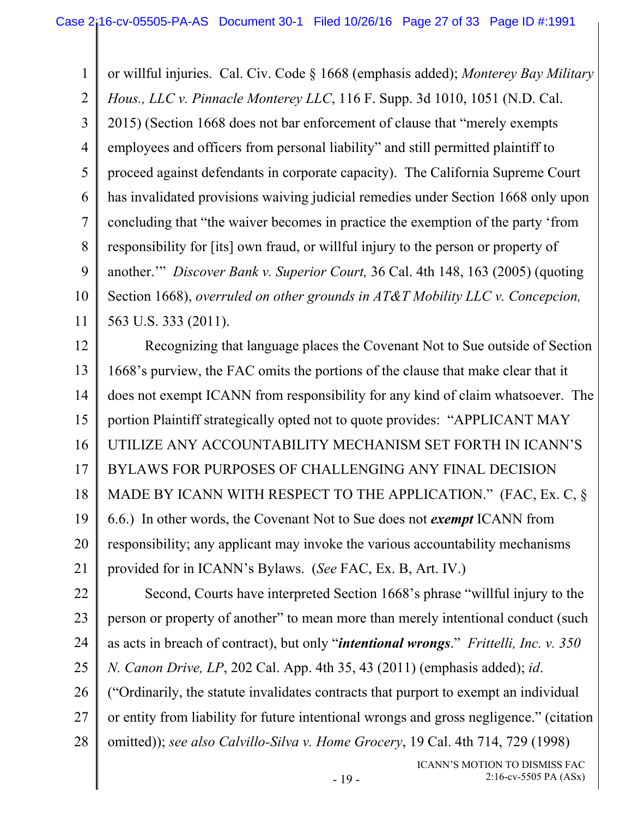1 2 3 4 5 6 7 8 9 10 11 or willful injuries. Cal. Civ. Code § 1668 (emphasis added); *Monterey Bay Military Hous., LLC v. Pinnacle Monterey LLC*, 116 F. Supp. 3d 1010, 1051 (N.D. Cal. 2015) (Section 1668 does not bar enforcement of clause that "merely exempts employees and officers from personal liability" and still permitted plaintiff to proceed against defendants in corporate capacity). The California Supreme Court has invalidated provisions waiving judicial remedies under Section 1668 only upon concluding that "the waiver becomes in practice the exemption of the party 'from responsibility for [its] own fraud, or willful injury to the person or property of another.'" *Discover Bank v. Superior Court,* 36 Cal. 4th 148, 163 (2005) (quoting Section 1668), *overruled on other grounds in AT&T Mobility LLC v. Concepcion,* 563 U.S. 333 (2011).

12 13 14 15 16 17 18 19 20 21 Recognizing that language places the Covenant Not to Sue outside of Section 1668's purview, the FAC omits the portions of the clause that make clear that it does not exempt ICANN from responsibility for any kind of claim whatsoever. The portion Plaintiff strategically opted not to quote provides: "APPLICANT MAY UTILIZE ANY ACCOUNTABILITY MECHANISM SET FORTH IN ICANN'S BYLAWS FOR PURPOSES OF CHALLENGING ANY FINAL DECISION MADE BY ICANN WITH RESPECT TO THE APPLICATION." (FAC, Ex. C, § 6.6.) In other words, the Covenant Not to Sue does not *exempt* ICANN from responsibility; any applicant may invoke the various accountability mechanisms provided for in ICANN's Bylaws. (*See* FAC, Ex. B, Art. IV.)

22 23 24 25 26 27 28 Second, Courts have interpreted Section 1668's phrase "willful injury to the person or property of another" to mean more than merely intentional conduct (such as acts in breach of contract), but only "*intentional wrongs*." *Frittelli, Inc. v. 350 N. Canon Drive, LP*, 202 Cal. App. 4th 35, 43 (2011) (emphasis added); *id*. ("Ordinarily, the statute invalidates contracts that purport to exempt an individual or entity from liability for future intentional wrongs and gross negligence." (citation omitted)); *see also Calvillo-Silva v. Home Grocery*, 19 Cal. 4th 714, 729 (1998)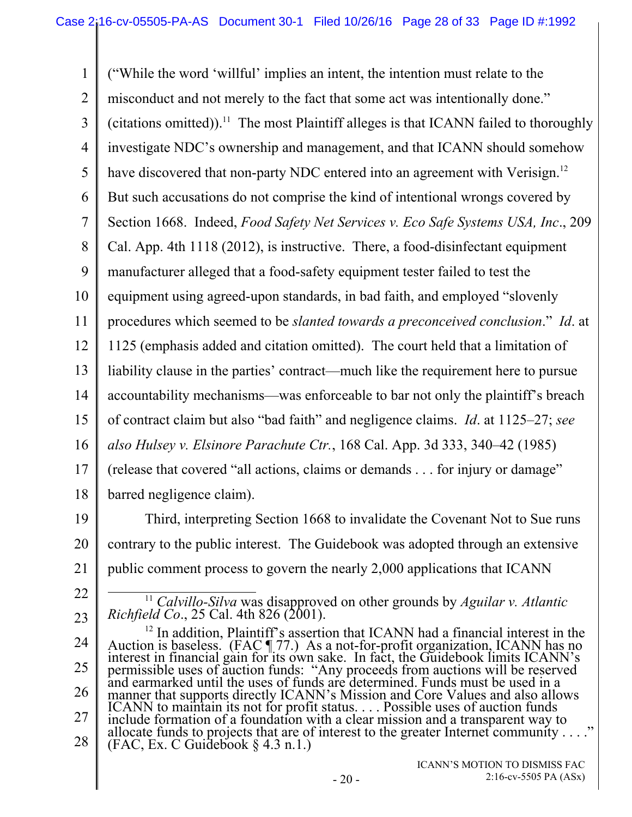1 2 3 4 5 6 7 8 9 10 11 12 13 14 15 16 17 18 ("While the word 'willful' implies an intent, the intention must relate to the misconduct and not merely to the fact that some act was intentionally done." (citations omitted)).<sup>11</sup> The most Plaintiff alleges is that ICANN failed to thoroughly investigate NDC's ownership and management, and that ICANN should somehow have discovered that non-party NDC entered into an agreement with Verisign.<sup>12</sup> But such accusations do not comprise the kind of intentional wrongs covered by Section 1668. Indeed, *Food Safety Net Services v. Eco Safe Systems USA, Inc*., 209 Cal. App. 4th 1118 (2012), is instructive. There, a food-disinfectant equipment manufacturer alleged that a food-safety equipment tester failed to test the equipment using agreed-upon standards, in bad faith, and employed "slovenly procedures which seemed to be *slanted towards a preconceived conclusion*." *Id*. at 1125 (emphasis added and citation omitted). The court held that a limitation of liability clause in the parties' contract—much like the requirement here to pursue accountability mechanisms—was enforceable to bar not only the plaintiff's breach of contract claim but also "bad faith" and negligence claims. *Id*. at 1125–27; *see also Hulsey v. Elsinore Parachute Ctr.*, 168 Cal. App. 3d 333, 340–42 (1985) (release that covered "all actions, claims or demands . . . for injury or damage" barred negligence claim).

- 19 20 21 Third, interpreting Section 1668 to invalidate the Covenant Not to Sue runs contrary to the public interest. The Guidebook was adopted through an extensive public comment process to govern the nearly 2,000 applications that ICANN
- 22

23

<sup>11</sup> *Calvillo-Silva* was disapproved on other grounds by *Aguilar v. Atlantic Richfield Co*., 25 Cal. 4th 826 (2001).

<sup>24</sup>  25 26 27 28 <sup>12</sup> In addition, Plaintiff's assertion that ICANN had a financial interest in the Auction is baseless. (FAC ¶ 77.) As a not-for-profit organization, ICANN has no interest in financial gain for its own sake. In fact, the Guidebook limits ICANN's permissible uses of auction funds: "Any proceeds from auctions will be reserved and earmarked until the uses of funds are determined. Funds must be used in a manner that supports directly ICANN's Mission and Core Values and also allows ICANN to maintain its not for profit status. . . . Possible uses of auction funds include formation of a foundation with a clear mission and a transparent way to allocate funds to projects that are of interest to the greater Internet community . . . ." (FAC, Ex. C Guidebook  $\S 4.3$  n.1.)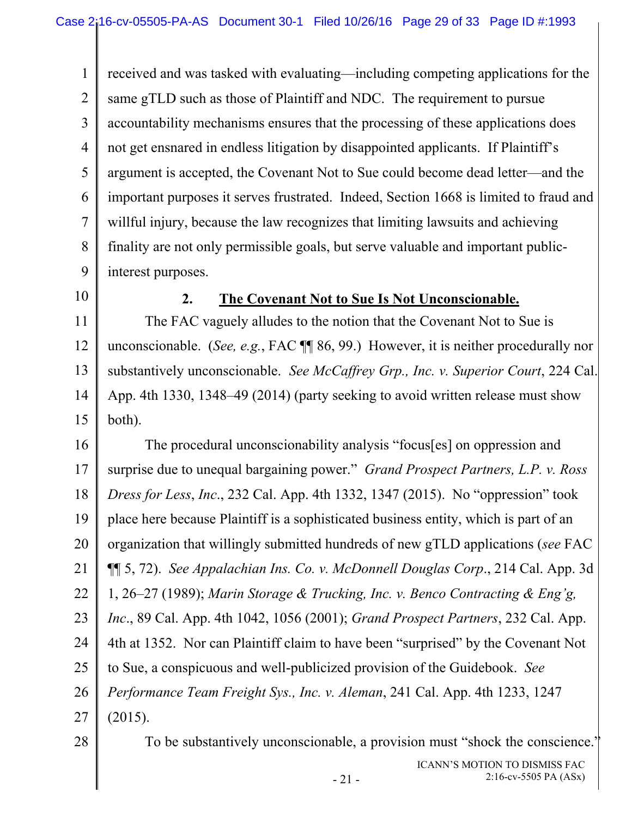1 2 3 4 5 6 7 8 9 received and was tasked with evaluating—including competing applications for the same gTLD such as those of Plaintiff and NDC. The requirement to pursue accountability mechanisms ensures that the processing of these applications does not get ensnared in endless litigation by disappointed applicants. If Plaintiff's argument is accepted, the Covenant Not to Sue could become dead letter—and the important purposes it serves frustrated. Indeed, Section 1668 is limited to fraud and willful injury, because the law recognizes that limiting lawsuits and achieving finality are not only permissible goals, but serve valuable and important publicinterest purposes.

10

### **2. The Covenant Not to Sue Is Not Unconscionable.**

11 12 13 14 15 The FAC vaguely alludes to the notion that the Covenant Not to Sue is unconscionable. (*See, e.g.*, FAC ¶¶ 86, 99.) However, it is neither procedurally nor substantively unconscionable. *See McCaffrey Grp., Inc. v. Superior Court*, 224 Cal. App. 4th 1330, 1348–49 (2014) (party seeking to avoid written release must show both).

16 17 18 19 20 21 22 23 24 25 26 27 The procedural unconscionability analysis "focus[es] on oppression and surprise due to unequal bargaining power." *Grand Prospect Partners, L.P. v. Ross Dress for Less*, *Inc*., 232 Cal. App. 4th 1332, 1347 (2015). No "oppression" took place here because Plaintiff is a sophisticated business entity, which is part of an organization that willingly submitted hundreds of new gTLD applications (*see* FAC ¶¶ 5, 72). *See Appalachian Ins. Co. v. McDonnell Douglas Corp*., 214 Cal. App. 3d 1, 26–27 (1989); *Marin Storage & Trucking, Inc. v. Benco Contracting & Eng'g, Inc*., 89 Cal. App. 4th 1042, 1056 (2001); *Grand Prospect Partners*, 232 Cal. App. 4th at 1352. Nor can Plaintiff claim to have been "surprised" by the Covenant Not to Sue, a conspicuous and well-publicized provision of the Guidebook. *See Performance Team Freight Sys., Inc. v. Aleman*, 241 Cal. App. 4th 1233, 1247 (2015).

28

To be substantively unconscionable, a provision must "shock the conscience."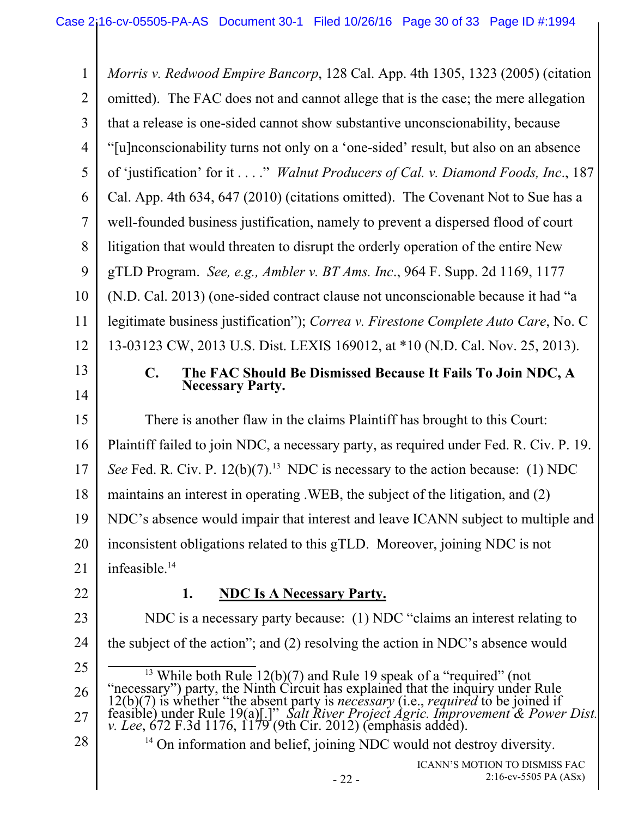1 2 3 4 5 6 7 8 9 10 11 12 13 14 15 16 17 18 19 20 21 22 23 24 25 26 27 28 ICANN'S MOTION TO DISMISS FAC *Morris v. Redwood Empire Bancorp*, 128 Cal. App. 4th 1305, 1323 (2005) (citation omitted). The FAC does not and cannot allege that is the case; the mere allegation that a release is one-sided cannot show substantive unconscionability, because "[u]nconscionability turns not only on a 'one-sided' result, but also on an absence of 'justification' for it . . . ." *Walnut Producers of Cal. v. Diamond Foods, Inc*., 187 Cal. App. 4th 634, 647 (2010) (citations omitted). The Covenant Not to Sue has a well-founded business justification, namely to prevent a dispersed flood of court litigation that would threaten to disrupt the orderly operation of the entire New gTLD Program. *See, e.g., Ambler v. BT Ams. Inc*., 964 F. Supp. 2d 1169, 1177 (N.D. Cal. 2013) (one-sided contract clause not unconscionable because it had "a legitimate business justification"); *Correa v. Firestone Complete Auto Care*, No. C 13-03123 CW, 2013 U.S. Dist. LEXIS 169012, at \*10 (N.D. Cal. Nov. 25, 2013). **C. The FAC Should Be Dismissed Because It Fails To Join NDC, A Necessary Party.**  There is another flaw in the claims Plaintiff has brought to this Court: Plaintiff failed to join NDC, a necessary party, as required under Fed. R. Civ. P. 19. *See* Fed. R. Civ. P.  $12(b)(7)$ .<sup>13</sup> NDC is necessary to the action because: (1) NDC maintains an interest in operating .WEB, the subject of the litigation, and (2) NDC's absence would impair that interest and leave ICANN subject to multiple and inconsistent obligations related to this gTLD. Moreover, joining NDC is not infeasible.<sup>14</sup> **1. NDC Is A Necessary Party.** NDC is a necessary party because: (1) NDC "claims an interest relating to the subject of the action"; and (2) resolving the action in NDC's absence would <sup>13</sup> While both Rule 12(b)(7) and Rule 19 speak of a "required" (not "necessary") party, the Ninth Circuit has explained that the inquiry under Rule 12(b)(7) is whether "the absent party is *necessary* (i.e., *required* t <sup>14</sup> On information and belief, joining NDC would not destroy diversity.

2:16-cv-5505 PA (ASx)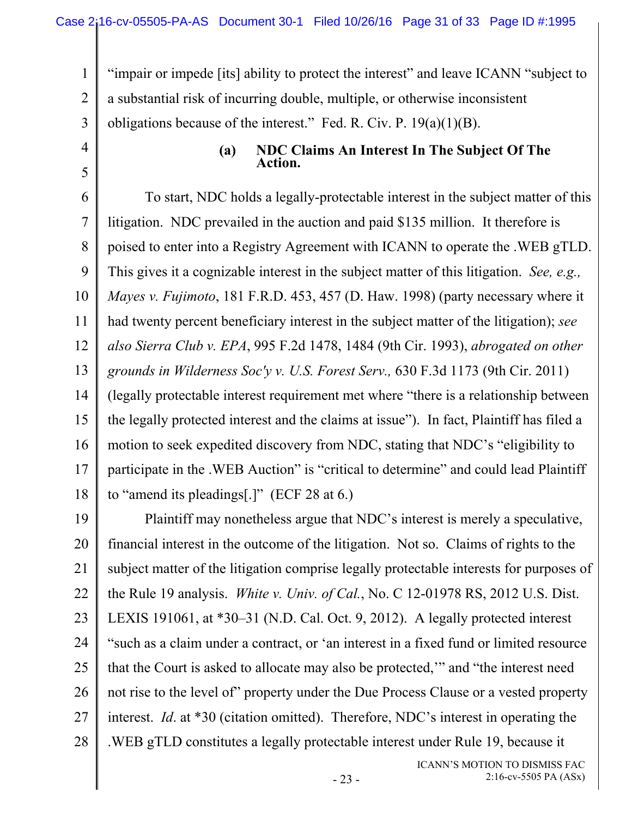1

2

4

5

3 "impair or impede [its] ability to protect the interest" and leave ICANN "subject to a substantial risk of incurring double, multiple, or otherwise inconsistent obligations because of the interest." Fed. R. Civ. P.  $19(a)(1)(B)$ .

#### **(a) NDC Claims An Interest In The Subject Of The Action.**

6 7 8 9 10 11 12 13 14 15 16 17 18 To start, NDC holds a legally-protectable interest in the subject matter of this litigation. NDC prevailed in the auction and paid \$135 million. It therefore is poised to enter into a Registry Agreement with ICANN to operate the .WEB gTLD. This gives it a cognizable interest in the subject matter of this litigation. *See, e.g., Mayes v. Fujimoto*, 181 F.R.D. 453, 457 (D. Haw. 1998) (party necessary where it had twenty percent beneficiary interest in the subject matter of the litigation); *see also Sierra Club v. EPA*, 995 F.2d 1478, 1484 (9th Cir. 1993), *abrogated on other grounds in Wilderness Soc'y v. U.S. Forest Serv.,* 630 F.3d 1173 (9th Cir. 2011) (legally protectable interest requirement met where "there is a relationship between the legally protected interest and the claims at issue"). In fact, Plaintiff has filed a motion to seek expedited discovery from NDC, stating that NDC's "eligibility to participate in the .WEB Auction" is "critical to determine" and could lead Plaintiff to "amend its pleadings[.]" (ECF 28 at 6.)

19 20 21 22 23 24 25 26 27 28 Plaintiff may nonetheless argue that NDC's interest is merely a speculative, financial interest in the outcome of the litigation. Not so. Claims of rights to the subject matter of the litigation comprise legally protectable interests for purposes of the Rule 19 analysis. *White v. Univ. of Cal.*, No. C 12-01978 RS, 2012 U.S. Dist. LEXIS 191061, at \*30–31 (N.D. Cal. Oct. 9, 2012). A legally protected interest "such as a claim under a contract, or 'an interest in a fixed fund or limited resource that the Court is asked to allocate may also be protected,'" and "the interest need not rise to the level of" property under the Due Process Clause or a vested property interest. *Id*. at \*30 (citation omitted). Therefore, NDC's interest in operating the .WEB gTLD constitutes a legally protectable interest under Rule 19, because it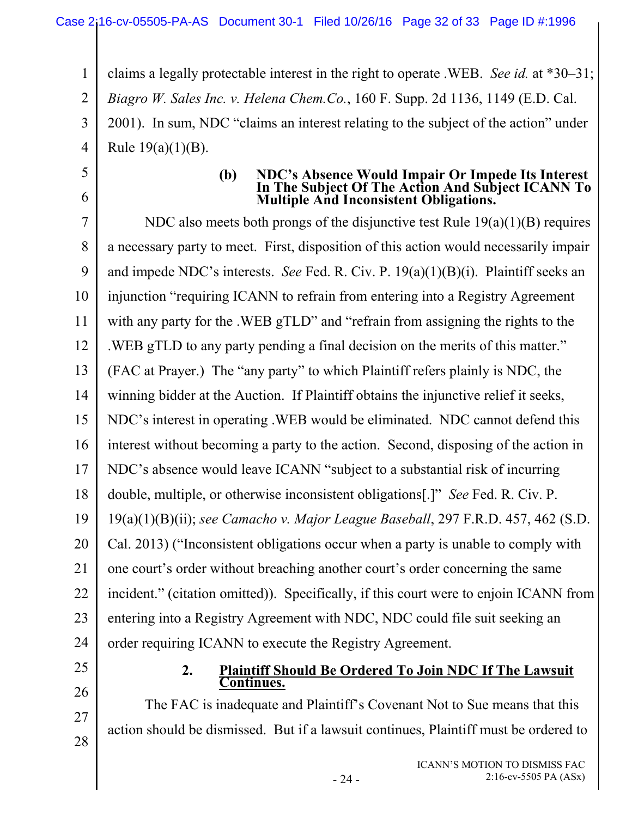1 2 3 4 claims a legally protectable interest in the right to operate .WEB. *See id.* at \*30–31; *Biagro W. Sales Inc. v. Helena Chem.Co.*, 160 F. Supp. 2d 1136, 1149 (E.D. Cal. 2001). In sum, NDC "claims an interest relating to the subject of the action" under Rule 19(a)(1)(B).

5

6

# **(b) NDC's Absence Would Impair Or Impede Its Interest In The Subject Of The Action And Subject ICANN To Multiple And Inconsistent Obligations.**

7 8 9 10 11 12 13 14 15 16 17 18 19 20 21 22 23 24 NDC also meets both prongs of the disjunctive test Rule 19(a)(1)(B) requires a necessary party to meet. First, disposition of this action would necessarily impair and impede NDC's interests. *See* Fed. R. Civ. P. 19(a)(1)(B)(i). Plaintiff seeks an injunction "requiring ICANN to refrain from entering into a Registry Agreement with any party for the .WEB gTLD" and "refrain from assigning the rights to the .WEB gTLD to any party pending a final decision on the merits of this matter." (FAC at Prayer.) The "any party" to which Plaintiff refers plainly is NDC, the winning bidder at the Auction. If Plaintiff obtains the injunctive relief it seeks, NDC's interest in operating .WEB would be eliminated. NDC cannot defend this interest without becoming a party to the action. Second, disposing of the action in NDC's absence would leave ICANN "subject to a substantial risk of incurring double, multiple, or otherwise inconsistent obligations[.]" *See* Fed. R. Civ. P. 19(a)(1)(B)(ii); *see Camacho v. Major League Baseball*, 297 F.R.D. 457, 462 (S.D. Cal. 2013) ("Inconsistent obligations occur when a party is unable to comply with one court's order without breaching another court's order concerning the same incident." (citation omitted)). Specifically, if this court were to enjoin ICANN from entering into a Registry Agreement with NDC, NDC could file suit seeking an order requiring ICANN to execute the Registry Agreement.

25

26

27

28

#### **2. Plaintiff Should Be Ordered To Join NDC If The Lawsuit Continues.**

The FAC is inadequate and Plaintiff's Covenant Not to Sue means that this action should be dismissed. But if a lawsuit continues, Plaintiff must be ordered to